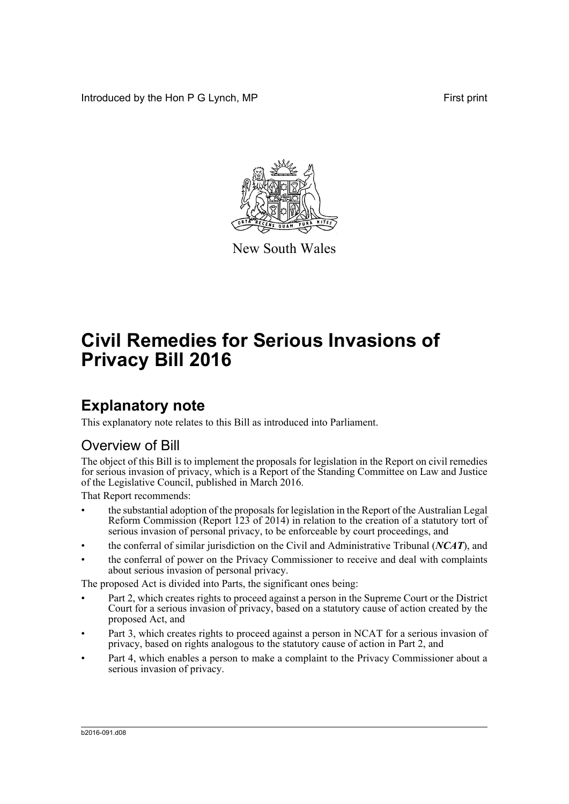Introduced by the Hon P G Lynch, MP First print



New South Wales

# **Civil Remedies for Serious Invasions of Privacy Bill 2016**

# **Explanatory note**

This explanatory note relates to this Bill as introduced into Parliament.

## Overview of Bill

The object of this Bill is to implement the proposals for legislation in the Report on civil remedies for serious invasion of privacy, which is a Report of the Standing Committee on Law and Justice of the Legislative Council, published in March 2016.

That Report recommends:

- the substantial adoption of the proposals for legislation in the Report of the Australian Legal Reform Commission (Report 123 of 2014) in relation to the creation of a statutory tort of serious invasion of personal privacy, to be enforceable by court proceedings, and
- the conferral of similar jurisdiction on the Civil and Administrative Tribunal (*NCAT*), and
- the conferral of power on the Privacy Commissioner to receive and deal with complaints about serious invasion of personal privacy.

The proposed Act is divided into Parts, the significant ones being:

- Part 2, which creates rights to proceed against a person in the Supreme Court or the District Court for a serious invasion of privacy, based on a statutory cause of action created by the proposed Act, and
- Part 3, which creates rights to proceed against a person in NCAT for a serious invasion of privacy, based on rights analogous to the statutory cause of action in Part 2, and
- Part 4, which enables a person to make a complaint to the Privacy Commissioner about a serious invasion of privacy.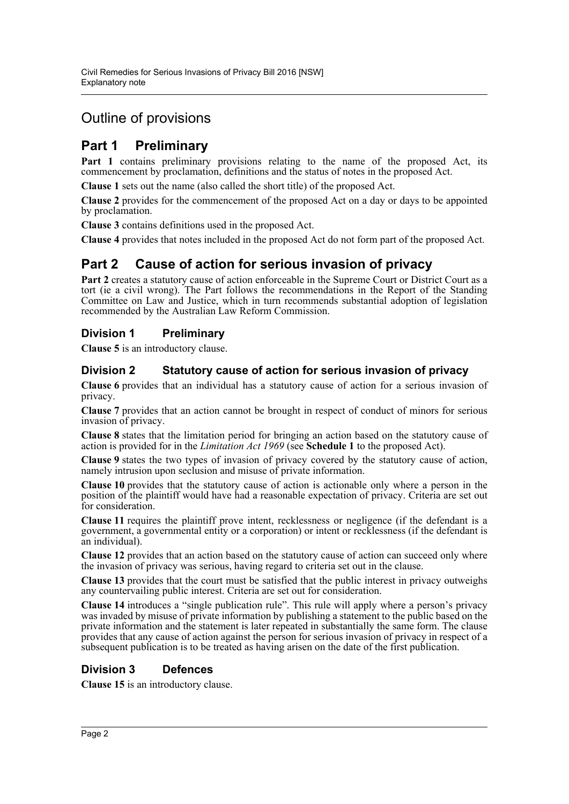## Outline of provisions

## **Part 1 Preliminary**

Part 1 contains preliminary provisions relating to the name of the proposed Act, its commencement by proclamation, definitions and the status of notes in the proposed Act.

**Clause 1** sets out the name (also called the short title) of the proposed Act.

**Clause 2** provides for the commencement of the proposed Act on a day or days to be appointed by proclamation.

**Clause 3** contains definitions used in the proposed Act.

**Clause 4** provides that notes included in the proposed Act do not form part of the proposed Act.

## **Part 2 Cause of action for serious invasion of privacy**

Part 2 creates a statutory cause of action enforceable in the Supreme Court or District Court as a tort (ie a civil wrong). The Part follows the recommendations in the Report of the Standing Committee on Law and Justice, which in turn recommends substantial adoption of legislation recommended by the Australian Law Reform Commission.

## **Division 1 Preliminary**

**Clause 5** is an introductory clause.

## **Division 2 Statutory cause of action for serious invasion of privacy**

**Clause 6** provides that an individual has a statutory cause of action for a serious invasion of privacy.

**Clause 7** provides that an action cannot be brought in respect of conduct of minors for serious invasion of privacy.

**Clause 8** states that the limitation period for bringing an action based on the statutory cause of action is provided for in the *Limitation Act 1969* (see **Schedule 1** to the proposed Act).

**Clause 9** states the two types of invasion of privacy covered by the statutory cause of action, namely intrusion upon seclusion and misuse of private information.

**Clause 10** provides that the statutory cause of action is actionable only where a person in the position of the plaintiff would have had a reasonable expectation of privacy. Criteria are set out for consideration.

**Clause 11** requires the plaintiff prove intent, recklessness or negligence (if the defendant is a government, a governmental entity or a corporation) or intent or recklessness (if the defendant is an individual).

**Clause 12** provides that an action based on the statutory cause of action can succeed only where the invasion of privacy was serious, having regard to criteria set out in the clause.

**Clause 13** provides that the court must be satisfied that the public interest in privacy outweighs any countervailing public interest. Criteria are set out for consideration.

**Clause 14** introduces a "single publication rule". This rule will apply where a person's privacy was invaded by misuse of private information by publishing a statement to the public based on the private information and the statement is later repeated in substantially the same form. The clause provides that any cause of action against the person for serious invasion of privacy in respect of a subsequent publication is to be treated as having arisen on the date of the first publication.

## **Division 3 Defences**

**Clause 15** is an introductory clause.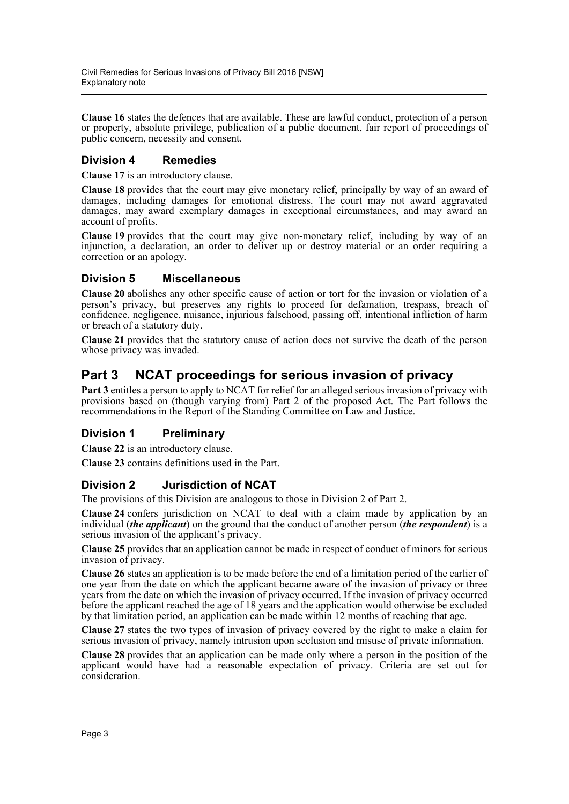**Clause 16** states the defences that are available. These are lawful conduct, protection of a person or property, absolute privilege, publication of a public document, fair report of proceedings of public concern, necessity and consent.

## **Division 4 Remedies**

**Clause 17** is an introductory clause.

**Clause 18** provides that the court may give monetary relief, principally by way of an award of damages, including damages for emotional distress. The court may not award aggravated damages, may award exemplary damages in exceptional circumstances, and may award an account of profits.

**Clause 19** provides that the court may give non-monetary relief, including by way of an injunction, a declaration, an order to deliver up or destroy material or an order requiring a correction or an apology.

### **Division 5 Miscellaneous**

**Clause 20** abolishes any other specific cause of action or tort for the invasion or violation of a person's privacy, but preserves any rights to proceed for defamation, trespass, breach of confidence, negligence, nuisance, injurious falsehood, passing off, intentional infliction of harm or breach of a statutory duty.

**Clause 21** provides that the statutory cause of action does not survive the death of the person whose privacy was invaded.

## **Part 3 NCAT proceedings for serious invasion of privacy**

**Part 3** entitles a person to apply to NCAT for relief for an alleged serious invasion of privacy with provisions based on (though varying from) Part 2 of the proposed Act. The Part follows the recommendations in the Report of the Standing Committee on Law and Justice.

## **Division 1 Preliminary**

**Clause 22** is an introductory clause.

**Clause 23** contains definitions used in the Part.

## **Division 2 Jurisdiction of NCAT**

The provisions of this Division are analogous to those in Division 2 of Part 2.

**Clause 24** confers jurisdiction on NCAT to deal with a claim made by application by an individual (*the applicant*) on the ground that the conduct of another person (*the respondent*) is a serious invasion of the applicant's privacy.

**Clause 25** provides that an application cannot be made in respect of conduct of minors for serious invasion of privacy.

**Clause 26** states an application is to be made before the end of a limitation period of the earlier of one year from the date on which the applicant became aware of the invasion of privacy or three years from the date on which the invasion of privacy occurred. If the invasion of privacy occurred before the applicant reached the age of 18 years and the application would otherwise be excluded by that limitation period, an application can be made within 12 months of reaching that age.

**Clause 27** states the two types of invasion of privacy covered by the right to make a claim for serious invasion of privacy, namely intrusion upon seclusion and misuse of private information.

**Clause 28** provides that an application can be made only where a person in the position of the applicant would have had a reasonable expectation of privacy. Criteria are set out for consideration.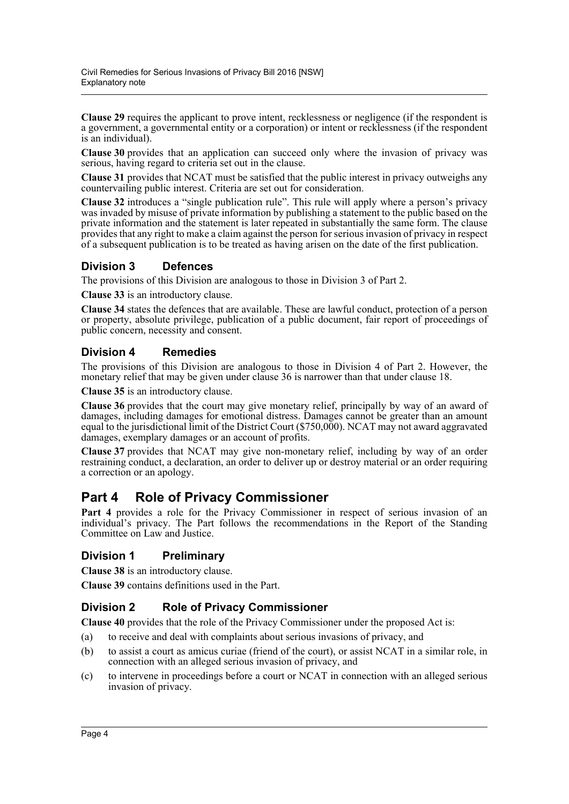**Clause 29** requires the applicant to prove intent, recklessness or negligence (if the respondent is a government, a governmental entity or a corporation) or intent or recklessness (if the respondent is an individual).

**Clause 30** provides that an application can succeed only where the invasion of privacy was serious, having regard to criteria set out in the clause.

**Clause 31** provides that NCAT must be satisfied that the public interest in privacy outweighs any countervailing public interest. Criteria are set out for consideration.

**Clause 32** introduces a "single publication rule". This rule will apply where a person's privacy was invaded by misuse of private information by publishing a statement to the public based on the private information and the statement is later repeated in substantially the same form. The clause provides that any right to make a claim against the person for serious invasion of privacy in respect of a subsequent publication is to be treated as having arisen on the date of the first publication.

## **Division 3 Defences**

The provisions of this Division are analogous to those in Division 3 of Part 2.

**Clause 33** is an introductory clause.

**Clause 34** states the defences that are available. These are lawful conduct, protection of a person or property, absolute privilege, publication of a public document, fair report of proceedings of public concern, necessity and consent.

## **Division 4 Remedies**

The provisions of this Division are analogous to those in Division 4 of Part 2. However, the monetary relief that may be given under clause 36 is narrower than that under clause 18.

**Clause 35** is an introductory clause.

**Clause 36** provides that the court may give monetary relief, principally by way of an award of damages, including damages for emotional distress. Damages cannot be greater than an amount equal to the jurisdictional limit of the District Court (\$750,000). NCAT may not award aggravated damages, exemplary damages or an account of profits.

**Clause 37** provides that NCAT may give non-monetary relief, including by way of an order restraining conduct, a declaration, an order to deliver up or destroy material or an order requiring a correction or an apology.

## **Part 4 Role of Privacy Commissioner**

Part 4 provides a role for the Privacy Commissioner in respect of serious invasion of an individual's privacy. The Part follows the recommendations in the Report of the Standing Committee on Law and Justice.

## **Division 1 Preliminary**

**Clause 38** is an introductory clause.

**Clause 39** contains definitions used in the Part.

## **Division 2 Role of Privacy Commissioner**

**Clause 40** provides that the role of the Privacy Commissioner under the proposed Act is:

- (a) to receive and deal with complaints about serious invasions of privacy, and
- (b) to assist a court as amicus curiae (friend of the court), or assist NCAT in a similar role, in connection with an alleged serious invasion of privacy, and
- (c) to intervene in proceedings before a court or NCAT in connection with an alleged serious invasion of privacy.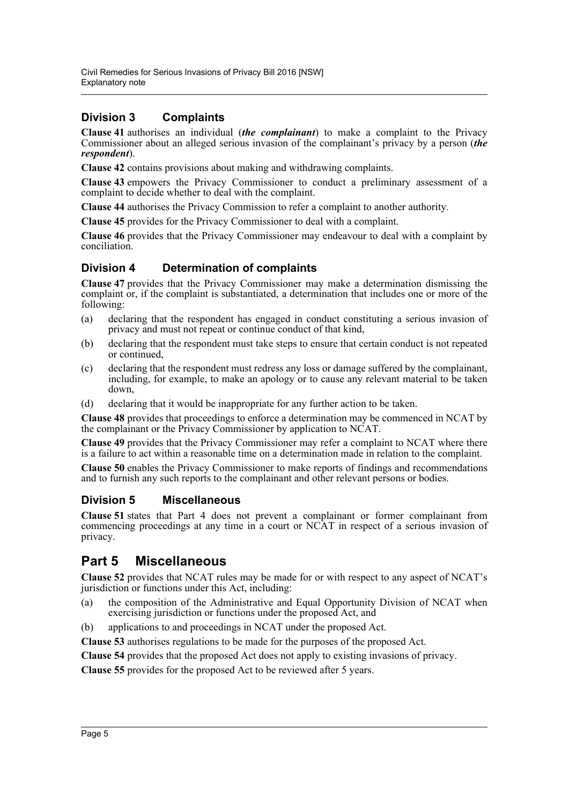## **Division 3 Complaints**

**Clause 41** authorises an individual (*the complainant*) to make a complaint to the Privacy Commissioner about an alleged serious invasion of the complainant's privacy by a person (*the respondent*).

**Clause 42** contains provisions about making and withdrawing complaints.

**Clause 43** empowers the Privacy Commissioner to conduct a preliminary assessment of a complaint to decide whether to deal with the complaint.

**Clause 44** authorises the Privacy Commission to refer a complaint to another authority.

**Clause 45** provides for the Privacy Commissioner to deal with a complaint.

**Clause 46** provides that the Privacy Commissioner may endeavour to deal with a complaint by conciliation.

## **Division 4 Determination of complaints**

**Clause 47** provides that the Privacy Commissioner may make a determination dismissing the complaint or, if the complaint is substantiated, a determination that includes one or more of the following:

- (a) declaring that the respondent has engaged in conduct constituting a serious invasion of privacy and must not repeat or continue conduct of that kind,
- (b) declaring that the respondent must take steps to ensure that certain conduct is not repeated or continued,
- (c) declaring that the respondent must redress any loss or damage suffered by the complainant, including, for example, to make an apology or to cause any relevant material to be taken down,
- (d) declaring that it would be inappropriate for any further action to be taken.

**Clause 48** provides that proceedings to enforce a determination may be commenced in NCAT by the complainant or the Privacy Commissioner by application to NCAT.

**Clause 49** provides that the Privacy Commissioner may refer a complaint to NCAT where there is a failure to act within a reasonable time on a determination made in relation to the complaint.

**Clause 50** enables the Privacy Commissioner to make reports of findings and recommendations and to furnish any such reports to the complainant and other relevant persons or bodies.

## **Division 5 Miscellaneous**

**Clause 51** states that Part 4 does not prevent a complainant or former complainant from commencing proceedings at any time in a court or NCAT in respect of a serious invasion of privacy.

## **Part 5 Miscellaneous**

**Clause 52** provides that NCAT rules may be made for or with respect to any aspect of NCAT's jurisdiction or functions under this Act, including:

- (a) the composition of the Administrative and Equal Opportunity Division of NCAT when exercising jurisdiction or functions under the proposed Act, and
- (b) applications to and proceedings in NCAT under the proposed Act.

**Clause 53** authorises regulations to be made for the purposes of the proposed Act.

**Clause 54** provides that the proposed Act does not apply to existing invasions of privacy.

**Clause 55** provides for the proposed Act to be reviewed after 5 years.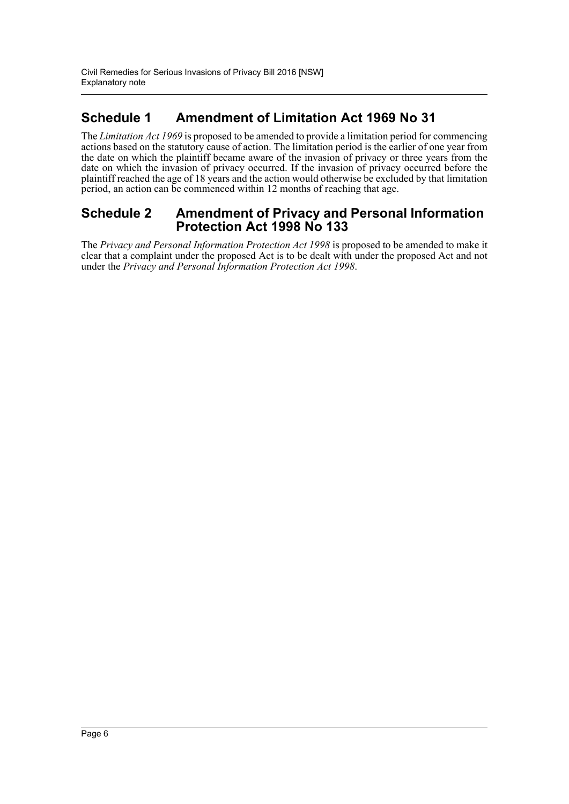## **Schedule 1 Amendment of Limitation Act 1969 No 31**

The *Limitation Act 1969* is proposed to be amended to provide a limitation period for commencing actions based on the statutory cause of action. The limitation period is the earlier of one year from the date on which the plaintiff became aware of the invasion of privacy or three years from the date on which the invasion of privacy occurred. If the invasion of privacy occurred before the plaintiff reached the age of 18 years and the action would otherwise be excluded by that limitation period, an action can be commenced within 12 months of reaching that age.

## **Schedule 2 Amendment of Privacy and Personal Information Protection Act 1998 No 133**

The *Privacy and Personal Information Protection Act 1998* is proposed to be amended to make it clear that a complaint under the proposed Act is to be dealt with under the proposed Act and not under the *Privacy and Personal Information Protection Act 1998*.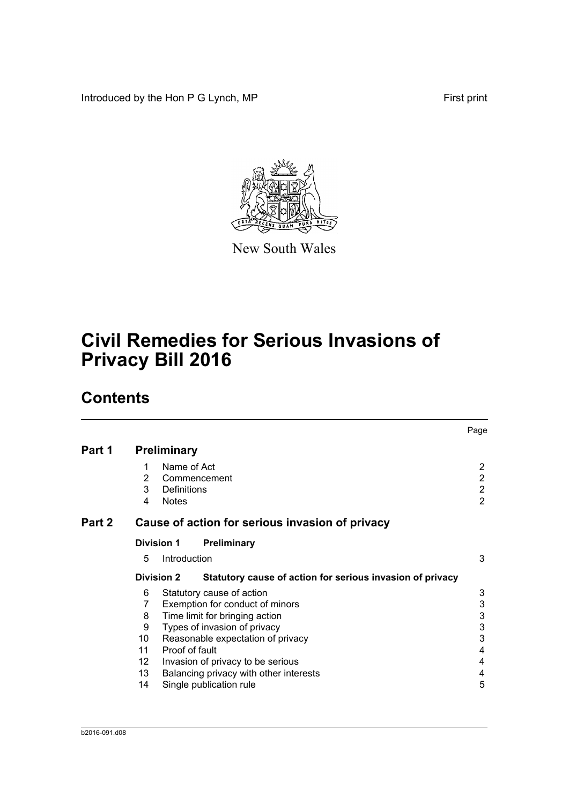Introduced by the Hon P G Lynch, MP First print



New South Wales

# **Civil Remedies for Serious Invasions of Privacy Bill 2016**

# **Contents**

|        |             |                                                                                | Page                                                                 |
|--------|-------------|--------------------------------------------------------------------------------|----------------------------------------------------------------------|
| Part 1 |             | <b>Preliminary</b>                                                             |                                                                      |
|        | 2<br>3<br>4 | Name of Act<br>Commencement<br>Definitions<br><b>Notes</b>                     | $\overline{2}$<br>$\overline{2}$<br>$\overline{2}$<br>$\overline{2}$ |
| Part 2 |             | Cause of action for serious invasion of privacy                                |                                                                      |
|        |             | <b>Division 1</b><br>Preliminary                                               |                                                                      |
|        | 5           | Introduction                                                                   | 3                                                                    |
|        |             | <b>Division 2</b><br>Statutory cause of action for serious invasion of privacy |                                                                      |
|        | 6           | Statutory cause of action                                                      | 3                                                                    |
|        | 7           | Exemption for conduct of minors                                                | 3                                                                    |
|        | 8           | Time limit for bringing action                                                 | $\ensuremath{\mathsf{3}}$                                            |
|        | 9           | Types of invasion of privacy                                                   | $\ensuremath{\mathsf{3}}$                                            |
|        | 10          | Reasonable expectation of privacy                                              | 3                                                                    |
|        | 11          | Proof of fault                                                                 | 4                                                                    |
|        | 12          | Invasion of privacy to be serious                                              | 4                                                                    |
|        | 13          | Balancing privacy with other interests                                         | 4                                                                    |
|        | 14          | Single publication rule                                                        | 5                                                                    |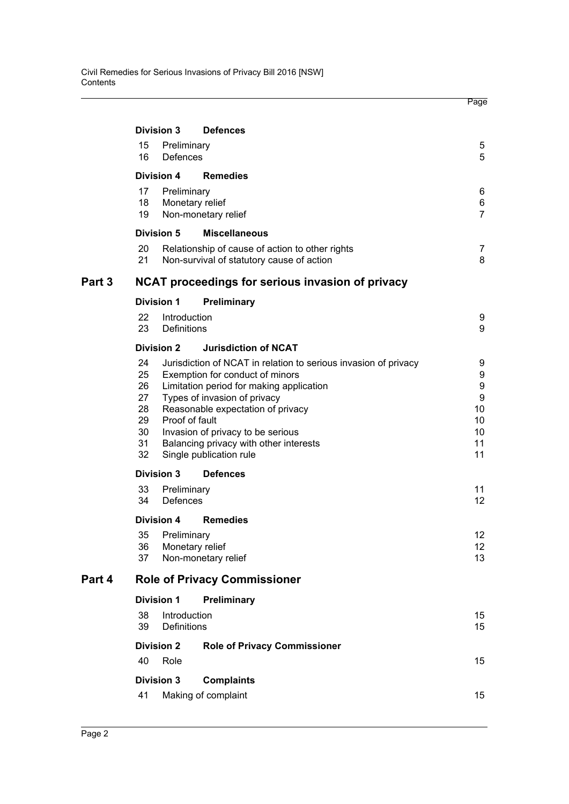|        |                                                    |                                                                                                                                                                                                                                                                                                                                                 | Page                                                          |
|--------|----------------------------------------------------|-------------------------------------------------------------------------------------------------------------------------------------------------------------------------------------------------------------------------------------------------------------------------------------------------------------------------------------------------|---------------------------------------------------------------|
|        | Division 3                                         | <b>Defences</b>                                                                                                                                                                                                                                                                                                                                 |                                                               |
|        | 15<br><b>Defences</b><br>16                        | Preliminary                                                                                                                                                                                                                                                                                                                                     | 5<br>5                                                        |
|        | <b>Division 4</b>                                  | <b>Remedies</b>                                                                                                                                                                                                                                                                                                                                 |                                                               |
|        | 17<br>18<br>19                                     | Preliminary<br>Monetary relief<br>Non-monetary relief                                                                                                                                                                                                                                                                                           | 6<br>6<br>$\overline{7}$                                      |
|        | Division 5                                         | <b>Miscellaneous</b>                                                                                                                                                                                                                                                                                                                            |                                                               |
|        | 20<br>21                                           | Relationship of cause of action to other rights<br>Non-survival of statutory cause of action                                                                                                                                                                                                                                                    | 7<br>8                                                        |
| Part 3 |                                                    | NCAT proceedings for serious invasion of privacy                                                                                                                                                                                                                                                                                                |                                                               |
|        | <b>Division 1</b>                                  | Preliminary                                                                                                                                                                                                                                                                                                                                     |                                                               |
|        | 22<br>23                                           | Introduction<br><b>Definitions</b>                                                                                                                                                                                                                                                                                                              | 9<br>9                                                        |
|        | <b>Division 2</b>                                  | <b>Jurisdiction of NCAT</b>                                                                                                                                                                                                                                                                                                                     |                                                               |
|        | 24<br>25<br>26<br>27<br>28<br>29<br>30<br>31<br>32 | Jurisdiction of NCAT in relation to serious invasion of privacy<br>Exemption for conduct of minors<br>Limitation period for making application<br>Types of invasion of privacy<br>Reasonable expectation of privacy<br>Proof of fault<br>Invasion of privacy to be serious<br>Balancing privacy with other interests<br>Single publication rule | 9<br>9<br>9<br>$\boldsymbol{9}$<br>10<br>10<br>10<br>11<br>11 |
|        | <b>Division 3</b>                                  | <b>Defences</b>                                                                                                                                                                                                                                                                                                                                 |                                                               |
|        | 33<br>Defences<br>34                               | Preliminary                                                                                                                                                                                                                                                                                                                                     | 11<br>12                                                      |
|        | Division 4<br>35<br>36<br>37                       | <b>Remedies</b><br>Preliminary<br>Monetary relief<br>Non-monetary relief                                                                                                                                                                                                                                                                        | 12<br>12<br>13                                                |
| Part 4 |                                                    | <b>Role of Privacy Commissioner</b>                                                                                                                                                                                                                                                                                                             |                                                               |
|        | <b>Division 1</b>                                  | Preliminary                                                                                                                                                                                                                                                                                                                                     |                                                               |
|        | 38<br>39                                           | Introduction<br><b>Definitions</b>                                                                                                                                                                                                                                                                                                              | 15<br>15                                                      |
|        | <b>Division 2</b><br>40<br>Role                    | <b>Role of Privacy Commissioner</b>                                                                                                                                                                                                                                                                                                             | 15                                                            |
|        | <b>Division 3</b>                                  | <b>Complaints</b>                                                                                                                                                                                                                                                                                                                               |                                                               |
|        | 41                                                 | Making of complaint                                                                                                                                                                                                                                                                                                                             | 15                                                            |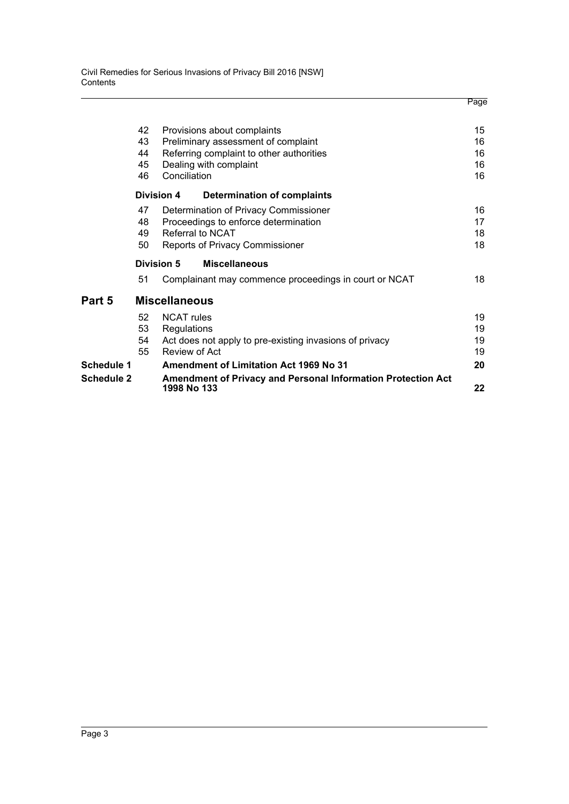|                   |    |                                                                                    | Page |
|-------------------|----|------------------------------------------------------------------------------------|------|
|                   | 42 | Provisions about complaints                                                        | 15   |
|                   | 43 | Preliminary assessment of complaint                                                | 16   |
|                   | 44 | Referring complaint to other authorities                                           | 16   |
|                   | 45 | Dealing with complaint                                                             | 16   |
|                   | 46 | Conciliation                                                                       | 16   |
|                   |    | <b>Division 4</b><br><b>Determination of complaints</b>                            |      |
|                   | 47 | Determination of Privacy Commissioner                                              | 16   |
|                   | 48 | Proceedings to enforce determination                                               | 17   |
|                   | 49 | Referral to NCAT                                                                   | 18   |
|                   | 50 | Reports of Privacy Commissioner                                                    | 18   |
|                   |    | Division 5<br><b>Miscellaneous</b>                                                 |      |
|                   | 51 | Complainant may commence proceedings in court or NCAT                              | 18   |
| Part 5            |    | <b>Miscellaneous</b>                                                               |      |
|                   | 52 | <b>NCAT rules</b>                                                                  | 19   |
|                   | 53 | Regulations                                                                        | 19   |
|                   | 54 | Act does not apply to pre-existing invasions of privacy                            | 19   |
|                   | 55 | Review of Act                                                                      | 19   |
| Schedule 1        |    | Amendment of Limitation Act 1969 No 31                                             | 20   |
| <b>Schedule 2</b> |    | <b>Amendment of Privacy and Personal Information Protection Act</b><br>1998 No 133 | 22   |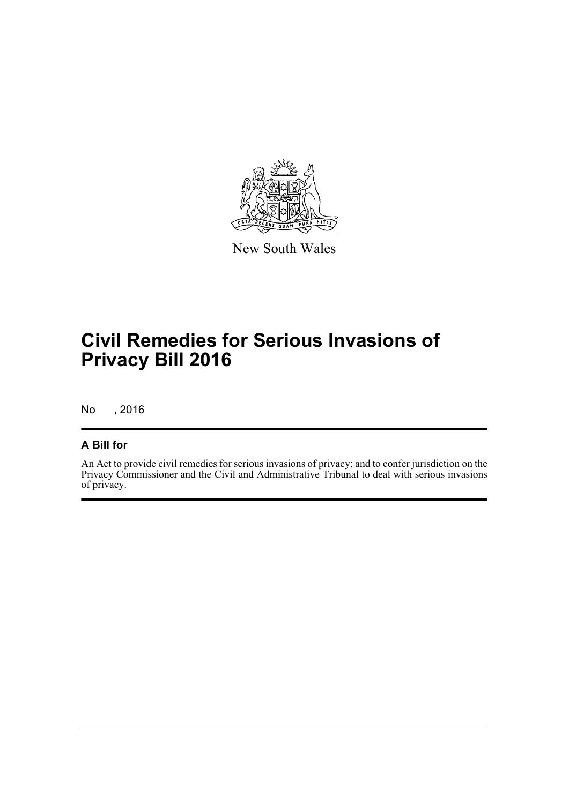

New South Wales

# **Civil Remedies for Serious Invasions of Privacy Bill 2016**

No , 2016

## **A Bill for**

An Act to provide civil remedies for serious invasions of privacy; and to confer jurisdiction on the Privacy Commissioner and the Civil and Administrative Tribunal to deal with serious invasions of privacy.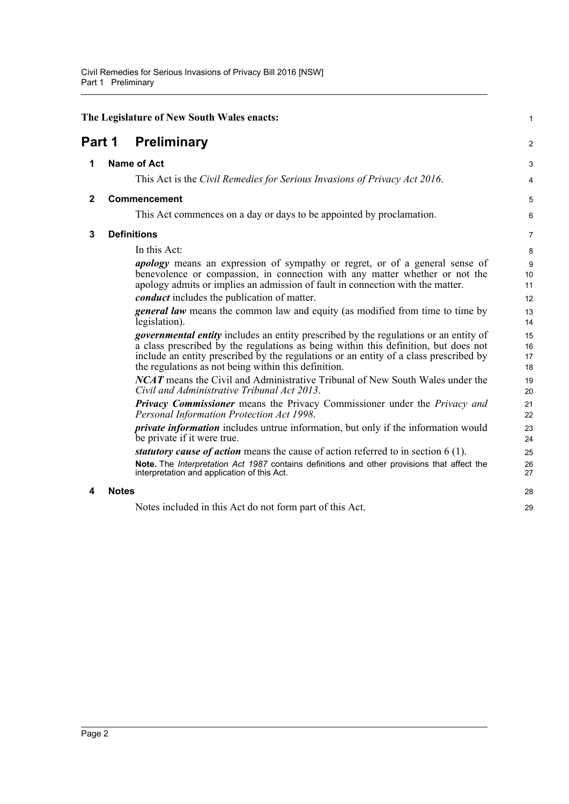<span id="page-10-4"></span><span id="page-10-3"></span><span id="page-10-2"></span><span id="page-10-1"></span><span id="page-10-0"></span>

|              |              | The Legislature of New South Wales enacts:                                                                                                                                                                                                                                                                                          | $\mathbf{1}$         |
|--------------|--------------|-------------------------------------------------------------------------------------------------------------------------------------------------------------------------------------------------------------------------------------------------------------------------------------------------------------------------------------|----------------------|
| Part 1       |              | <b>Preliminary</b>                                                                                                                                                                                                                                                                                                                  | 2                    |
| 1            |              | <b>Name of Act</b>                                                                                                                                                                                                                                                                                                                  | 3                    |
|              |              | This Act is the Civil Remedies for Serious Invasions of Privacy Act 2016.                                                                                                                                                                                                                                                           | 4                    |
| $\mathbf{2}$ |              | Commencement                                                                                                                                                                                                                                                                                                                        | 5                    |
|              |              | This Act commences on a day or days to be appointed by proclamation.                                                                                                                                                                                                                                                                | 6                    |
| 3            |              | <b>Definitions</b>                                                                                                                                                                                                                                                                                                                  | 7                    |
|              |              | In this Act:                                                                                                                                                                                                                                                                                                                        | 8                    |
|              |              | <i>apology</i> means an expression of sympathy or regret, or of a general sense of<br>benevolence or compassion, in connection with any matter whether or not the<br>apology admits or implies an admission of fault in connection with the matter.                                                                                 | 9<br>10<br>11        |
|              |              | <i>conduct</i> includes the publication of matter.                                                                                                                                                                                                                                                                                  | 12                   |
|              |              | general law means the common law and equity (as modified from time to time by<br>legislation).                                                                                                                                                                                                                                      | 13<br>14             |
|              |              | <i>governmental entity</i> includes an entity prescribed by the regulations or an entity of<br>a class prescribed by the regulations as being within this definition, but does not<br>include an entity prescribed by the regulations or an entity of a class prescribed by<br>the regulations as not being within this definition. | 15<br>16<br>17<br>18 |
|              |              | <b>NCAT</b> means the Civil and Administrative Tribunal of New South Wales under the<br>Civil and Administrative Tribunal Act 2013.                                                                                                                                                                                                 | 19<br>20             |
|              |              | <b>Privacy Commissioner</b> means the Privacy Commissioner under the Privacy and<br>Personal Information Protection Act 1998.                                                                                                                                                                                                       | 21<br>22             |
|              |              | <i>private information</i> includes untrue information, but only if the information would<br>be private if it were true.                                                                                                                                                                                                            | 23<br>24             |
|              |              | statutory cause of action means the cause of action referred to in section 6 (1).<br>Note. The Interpretation Act 1987 contains definitions and other provisions that affect the<br>interpretation and application of this Act.                                                                                                     | 25<br>26<br>27       |
| 4            | <b>Notes</b> |                                                                                                                                                                                                                                                                                                                                     | 28                   |
|              |              | Notes included in this Act do not form part of this Act.                                                                                                                                                                                                                                                                            | 29                   |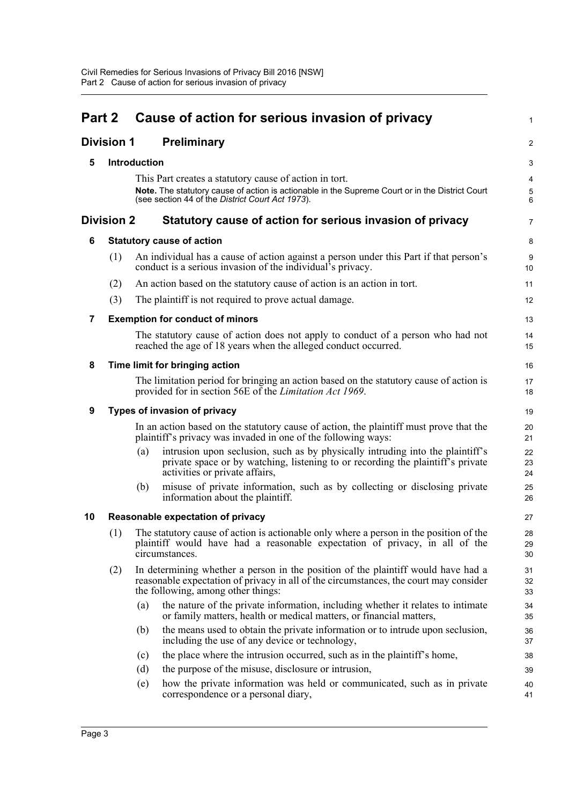<span id="page-11-8"></span><span id="page-11-7"></span><span id="page-11-6"></span><span id="page-11-5"></span><span id="page-11-4"></span><span id="page-11-3"></span><span id="page-11-2"></span><span id="page-11-1"></span><span id="page-11-0"></span>

| Part 2 |                   |              | Cause of action for serious invasion of privacy                                                                                                                                                                  | $\mathbf{1}$                 |
|--------|-------------------|--------------|------------------------------------------------------------------------------------------------------------------------------------------------------------------------------------------------------------------|------------------------------|
|        | <b>Division 1</b> |              | <b>Preliminary</b>                                                                                                                                                                                               | $\overline{2}$               |
| 5      |                   | Introduction |                                                                                                                                                                                                                  | 3                            |
|        |                   |              | This Part creates a statutory cause of action in tort.                                                                                                                                                           | 4                            |
|        |                   |              | Note. The statutory cause of action is actionable in the Supreme Court or in the District Court<br>(see section 44 of the District Court Act 1973).                                                              | $\sqrt{5}$<br>$6\phantom{a}$ |
|        | <b>Division 2</b> |              | Statutory cause of action for serious invasion of privacy                                                                                                                                                        | $\overline{7}$               |
| 6      |                   |              | <b>Statutory cause of action</b>                                                                                                                                                                                 | 8                            |
|        | (1)               |              | An individual has a cause of action against a person under this Part if that person's<br>conduct is a serious invasion of the individual's privacy.                                                              | $\boldsymbol{9}$<br>10       |
|        | (2)               |              | An action based on the statutory cause of action is an action in tort.                                                                                                                                           | 11                           |
|        | (3)               |              | The plaintiff is not required to prove actual damage.                                                                                                                                                            | 12                           |
| 7      |                   |              | <b>Exemption for conduct of minors</b>                                                                                                                                                                           | 13                           |
|        |                   |              | The statutory cause of action does not apply to conduct of a person who had not<br>reached the age of 18 years when the alleged conduct occurred.                                                                | 14<br>15                     |
| 8      |                   |              | Time limit for bringing action                                                                                                                                                                                   | 16                           |
|        |                   |              | The limitation period for bringing an action based on the statutory cause of action is<br>provided for in section 56E of the <i>Limitation Act 1969</i> .                                                        | 17<br>18                     |
| 9      |                   |              | Types of invasion of privacy                                                                                                                                                                                     | 19                           |
|        |                   |              | In an action based on the statutory cause of action, the plaintiff must prove that the<br>plaintiff's privacy was invaded in one of the following ways:                                                          | 20<br>21                     |
|        |                   | (a)          | intrusion upon seclusion, such as by physically intruding into the plaintiff's<br>private space or by watching, listening to or recording the plaintiff's private<br>activities or private affairs,              | 22<br>23<br>24               |
|        |                   | (b)          | misuse of private information, such as by collecting or disclosing private<br>information about the plaintiff.                                                                                                   | 25<br>26                     |
| 10     |                   |              | Reasonable expectation of privacy                                                                                                                                                                                | 27                           |
|        | (1)               |              | The statutory cause of action is actionable only where a person in the position of the<br>plaintiff would have had a reasonable expectation of privacy, in all of the<br>circumstances.                          | 28<br>29<br>30               |
|        | (2)               |              | In determining whether a person in the position of the plaintiff would have had a<br>reasonable expectation of privacy in all of the circumstances, the court may consider<br>the following, among other things: | 31<br>32<br>33               |
|        |                   | (a)          | the nature of the private information, including whether it relates to intimate<br>or family matters, health or medical matters, or financial matters,                                                           | 34<br>35                     |
|        |                   | (b)          | the means used to obtain the private information or to intrude upon seclusion,<br>including the use of any device or technology,                                                                                 | 36<br>37                     |
|        |                   | (c)          | the place where the intrusion occurred, such as in the plaintiff's home,                                                                                                                                         | 38                           |
|        |                   | (d)          | the purpose of the misuse, disclosure or intrusion,                                                                                                                                                              | 39                           |
|        |                   | (e)          | how the private information was held or communicated, such as in private<br>correspondence or a personal diary,                                                                                                  | 40<br>41                     |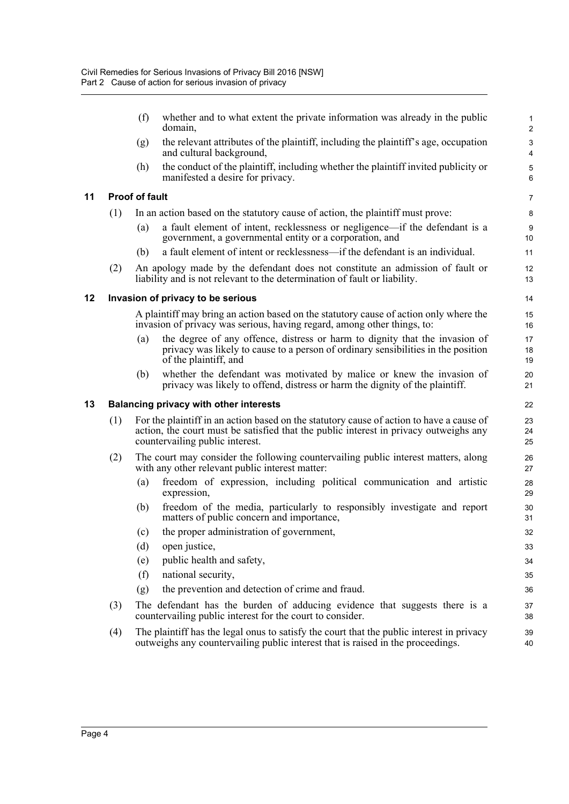|    |     | (f)                   | whether and to what extent the private information was already in the public<br>domain,                                                                                                                              | $\mathbf{1}$<br>$\overline{c}$                       |
|----|-----|-----------------------|----------------------------------------------------------------------------------------------------------------------------------------------------------------------------------------------------------------------|------------------------------------------------------|
|    |     | (g)                   | the relevant attributes of the plaintiff, including the plaintiff's age, occupation<br>and cultural background,                                                                                                      | $\ensuremath{\mathsf{3}}$<br>$\overline{\mathbf{4}}$ |
|    |     | (h)                   | the conduct of the plaintiff, including whether the plaintiff invited publicity or<br>manifested a desire for privacy.                                                                                               | 5<br>6                                               |
| 11 |     | <b>Proof of fault</b> |                                                                                                                                                                                                                      | $\overline{7}$                                       |
|    | (1) |                       | In an action based on the statutory cause of action, the plaintiff must prove:                                                                                                                                       | 8                                                    |
|    |     | (a)                   | a fault element of intent, recklessness or negligence—if the defendant is a<br>government, a governmental entity or a corporation, and                                                                               | $\boldsymbol{9}$<br>10                               |
|    |     | (b)                   | a fault element of intent or recklessness—if the defendant is an individual.                                                                                                                                         | 11                                                   |
|    | (2) |                       | An apology made by the defendant does not constitute an admission of fault or<br>liability and is not relevant to the determination of fault or liability.                                                           | 12<br>13                                             |
| 12 |     |                       | Invasion of privacy to be serious                                                                                                                                                                                    | 14                                                   |
|    |     |                       | A plaintiff may bring an action based on the statutory cause of action only where the<br>invasion of privacy was serious, having regard, among other things, to:                                                     | 15<br>16                                             |
|    |     | (a)                   | the degree of any offence, distress or harm to dignity that the invasion of<br>privacy was likely to cause to a person of ordinary sensibilities in the position<br>of the plaintiff, and                            | 17<br>18<br>19                                       |
|    |     | (b)                   | whether the defendant was motivated by malice or knew the invasion of<br>privacy was likely to offend, distress or harm the dignity of the plaintiff.                                                                | 20<br>21                                             |
| 13 |     |                       | <b>Balancing privacy with other interests</b>                                                                                                                                                                        | 22                                                   |
|    | (1) |                       | For the plaintiff in an action based on the statutory cause of action to have a cause of<br>action, the court must be satisfied that the public interest in privacy outweighs any<br>countervailing public interest. | 23<br>24<br>25                                       |
|    | (2) |                       | The court may consider the following countervailing public interest matters, along<br>with any other relevant public interest matter:                                                                                | 26<br>27                                             |
|    |     | (a)                   | freedom of expression, including political communication and artistic<br>expression,                                                                                                                                 | 28<br>29                                             |
|    |     | (b)                   | freedom of the media, particularly to responsibly investigate and report<br>matters of public concern and importance,                                                                                                | 30<br>31                                             |
|    |     | (c)                   | the proper administration of government,                                                                                                                                                                             | 32                                                   |
|    |     | (d)                   | open justice,                                                                                                                                                                                                        | 33                                                   |
|    |     | (e)                   | public health and safety,                                                                                                                                                                                            | 34                                                   |
|    |     | (f)                   | national security,                                                                                                                                                                                                   | 35                                                   |
|    |     | (g)                   | the prevention and detection of crime and fraud.                                                                                                                                                                     | 36                                                   |
|    | (3) |                       | The defendant has the burden of adducing evidence that suggests there is a<br>countervailing public interest for the court to consider.                                                                              | 37<br>38                                             |
|    | (4) |                       | The plaint if has the legal onus to satisfy the court that the public interest in privacy<br>outweighs any countervailing public interest that is raised in the proceedings.                                         | 39<br>40                                             |

<span id="page-12-2"></span><span id="page-12-1"></span><span id="page-12-0"></span>**11 Proof of fault**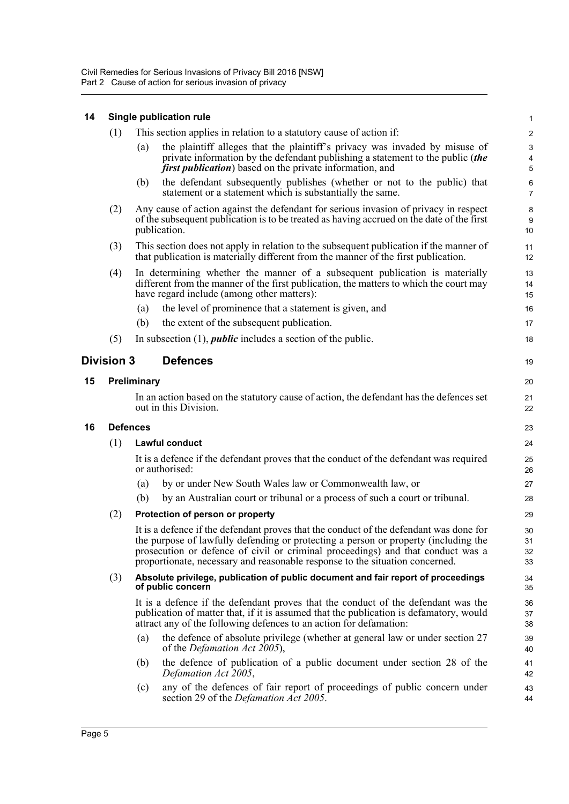## <span id="page-13-0"></span>**14 Single publication rule**

<span id="page-13-3"></span><span id="page-13-2"></span><span id="page-13-1"></span>

|    | (1)               |             | This section applies in relation to a statutory cause of action if:                                                                                                                                                                                                                                                                              | $\overline{c}$          |
|----|-------------------|-------------|--------------------------------------------------------------------------------------------------------------------------------------------------------------------------------------------------------------------------------------------------------------------------------------------------------------------------------------------------|-------------------------|
|    |                   | (a)         | the plaintiff alleges that the plaintiff's privacy was invaded by misuse of<br>private information by the defendant publishing a statement to the public (the<br><i>first publication</i> ) based on the private information, and                                                                                                                | 3<br>4<br>5             |
|    |                   | (b)         | the defendant subsequently publishes (whether or not to the public) that<br>statement or a statement which is substantially the same.                                                                                                                                                                                                            | $\,6$<br>$\overline{7}$ |
|    | (2)               |             | Any cause of action against the defendant for serious invasion of privacy in respect<br>of the subsequent publication is to be treated as having accrued on the date of the first<br>publication.                                                                                                                                                | 8<br>9<br>10            |
|    | (3)               |             | This section does not apply in relation to the subsequent publication if the manner of<br>that publication is materially different from the manner of the first publication.                                                                                                                                                                     | 11<br>12                |
|    | (4)               |             | In determining whether the manner of a subsequent publication is materially<br>different from the manner of the first publication, the matters to which the court may<br>have regard include (among other matters):                                                                                                                              | 13<br>14<br>15          |
|    |                   | (a)         | the level of prominence that a statement is given, and                                                                                                                                                                                                                                                                                           | 16                      |
|    |                   | (b)         | the extent of the subsequent publication.                                                                                                                                                                                                                                                                                                        | 17                      |
|    | (5)               |             | In subsection $(1)$ , <i>public</i> includes a section of the public.                                                                                                                                                                                                                                                                            | 18                      |
|    | <b>Division 3</b> |             | <b>Defences</b>                                                                                                                                                                                                                                                                                                                                  | 19                      |
| 15 |                   | Preliminary |                                                                                                                                                                                                                                                                                                                                                  | 20                      |
|    |                   |             | In an action based on the statutory cause of action, the defendant has the defences set<br>out in this Division.                                                                                                                                                                                                                                 | 21<br>22                |
|    |                   |             |                                                                                                                                                                                                                                                                                                                                                  |                         |
| 16 | <b>Defences</b>   |             |                                                                                                                                                                                                                                                                                                                                                  | 23                      |
|    | (1)               |             | Lawful conduct                                                                                                                                                                                                                                                                                                                                   | 24                      |
|    |                   |             | It is a defence if the defendant proves that the conduct of the defendant was required<br>or authorised:                                                                                                                                                                                                                                         | 25<br>26                |
|    |                   | (a)         | by or under New South Wales law or Commonwealth law, or                                                                                                                                                                                                                                                                                          | 27                      |
|    |                   | (b)         | by an Australian court or tribunal or a process of such a court or tribunal.                                                                                                                                                                                                                                                                     | 28                      |
|    | (2)               |             | Protection of person or property                                                                                                                                                                                                                                                                                                                 | 29                      |
|    |                   |             | It is a defence if the defendant proves that the conduct of the defendant was done for<br>the purpose of lawfully defending or protecting a person or property (including the<br>prosecution or defence of civil or criminal proceedings) and that conduct was a<br>proportionate, necessary and reasonable response to the situation concerned. | 30<br>31<br>32<br>33    |
|    | (3)               |             | Absolute privilege, publication of public document and fair report of proceedings<br>of public concern                                                                                                                                                                                                                                           | 34<br>35                |
|    |                   |             | It is a defence if the defendant proves that the conduct of the defendant was the<br>publication of matter that, if it is assumed that the publication is defamatory, would<br>attract any of the following defences to an action for defamation:                                                                                                | 36<br>37<br>38          |
|    |                   | (a)         | the defence of absolute privilege (whether at general law or under section 27<br>of the <i>Defamation Act</i> 2005),                                                                                                                                                                                                                             | 39<br>40                |
|    |                   | (b)         | the defence of publication of a public document under section 28 of the<br>Defamation Act 2005,                                                                                                                                                                                                                                                  | 41<br>42                |

1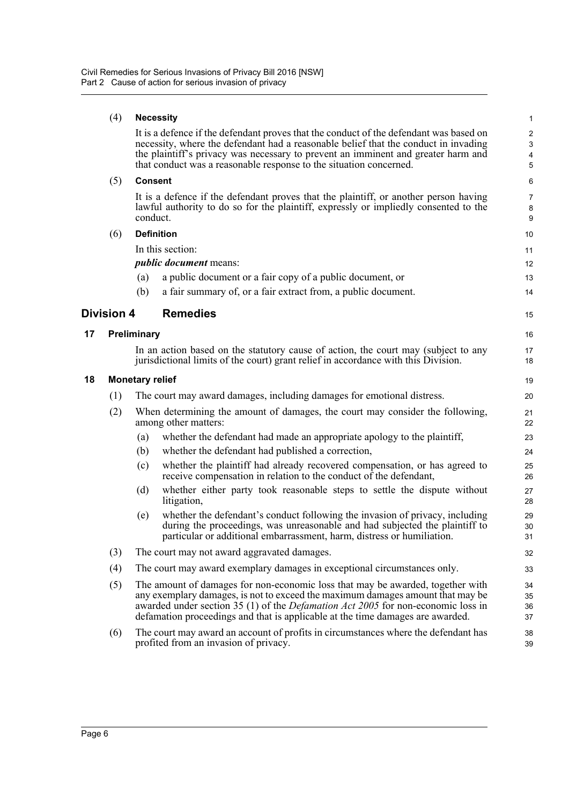#### (4) **Necessity**

It is a defence if the defendant proves that the conduct of the defendant was based on necessity, where the defendant had a reasonable belief that the conduct in invading the plaintiff's privacy was necessary to prevent an imminent and greater harm and that conduct was a reasonable response to the situation concerned.

15

16 17 18

#### (5) **Consent**

It is a defence if the defendant proves that the plaintiff, or another person having lawful authority to do so for the plaintiff, expressly or impliedly consented to the conduct.

#### (6) **Definition**

In this section:

*public document* means:

- (a) a public document or a fair copy of a public document, or
- (b) a fair summary of, or a fair extract from, a public document.

### <span id="page-14-0"></span>**Division 4 Remedies**

#### <span id="page-14-1"></span>**17 Preliminary**

In an action based on the statutory cause of action, the court may (subject to any jurisdictional limits of the court) grant relief in accordance with this Division.

#### <span id="page-14-2"></span>**18 Monetary relief**

| (1) | The court may award damages, including damages for emotional distress. |  |  |  |
|-----|------------------------------------------------------------------------|--|--|--|
|-----|------------------------------------------------------------------------|--|--|--|

- (2) When determining the amount of damages, the court may consider the following, among other matters:
	- (a) whether the defendant had made an appropriate apology to the plaintiff,
	- (b) whether the defendant had published a correction,
	- (c) whether the plaintiff had already recovered compensation, or has agreed to receive compensation in relation to the conduct of the defendant,
	- (d) whether either party took reasonable steps to settle the dispute without litigation,
	- (e) whether the defendant's conduct following the invasion of privacy, including during the proceedings, was unreasonable and had subjected the plaintiff to particular or additional embarrassment, harm, distress or humiliation.
- (3) The court may not award aggravated damages.
- (4) The court may award exemplary damages in exceptional circumstances only.
- (5) The amount of damages for non-economic loss that may be awarded, together with any exemplary damages, is not to exceed the maximum damages amount that may be awarded under section 35 (1) of the *Defamation Act 2005* for non-economic loss in defamation proceedings and that is applicable at the time damages are awarded.
- (6) The court may award an account of profits in circumstances where the defendant has profited from an invasion of privacy.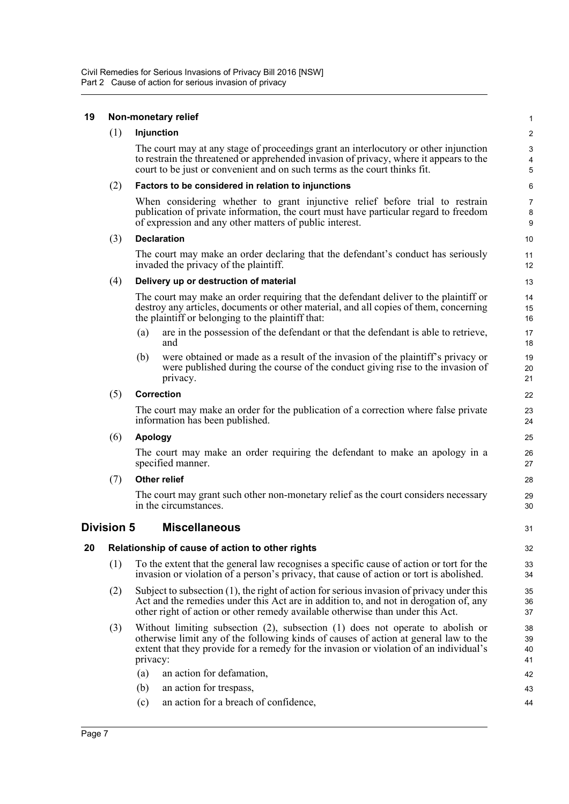#### <span id="page-15-2"></span><span id="page-15-1"></span><span id="page-15-0"></span>**19 Non-monetary relief** (1) **Injunction** The court may at any stage of proceedings grant an interlocutory or other injunction to restrain the threatened or apprehended invasion of privacy, where it appears to the court to be just or convenient and on such terms as the court thinks fit. (2) **Factors to be considered in relation to injunctions** When considering whether to grant injunctive relief before trial to restrain publication of private information, the court must have particular regard to freedom of expression and any other matters of public interest. (3) **Declaration** The court may make an order declaring that the defendant's conduct has seriously invaded the privacy of the plaintiff. (4) **Delivery up or destruction of material** The court may make an order requiring that the defendant deliver to the plaintiff or destroy any articles, documents or other material, and all copies of them, concerning the plaintiff or belonging to the plaintiff that: (a) are in the possession of the defendant or that the defendant is able to retrieve, and (b) were obtained or made as a result of the invasion of the plaintiff's privacy or were published during the course of the conduct giving rise to the invasion of privacy. (5) **Correction** The court may make an order for the publication of a correction where false private information has been published. (6) **Apology** The court may make an order requiring the defendant to make an apology in a specified manner. (7) **Other relief** The court may grant such other non-monetary relief as the court considers necessary in the circumstances. **Division 5 Miscellaneous 20 Relationship of cause of action to other rights** (1) To the extent that the general law recognises a specific cause of action or tort for the invasion or violation of a person's privacy, that cause of action or tort is abolished. (2) Subject to subsection (1), the right of action for serious invasion of privacy under this Act and the remedies under this Act are in addition to, and not in derogation of, any other right of action or other remedy available otherwise than under this Act. (3) Without limiting subsection (2), subsection (1) does not operate to abolish or otherwise limit any of the following kinds of causes of action at general law to the extent that they provide for a remedy for the invasion or violation of an individual's privacy: (a) an action for defamation, (b) an action for trespass, (c) an action for a breach of confidence, 1  $\mathfrak{p}$ 3 4 5 6 7 8 9 10 11 12 13 14 15 16 17 18 19  $20$ 21 22 23 24 25 26 27 28 29 30 31 32 33 34 35 36 37 38 39 40 41 42 43 44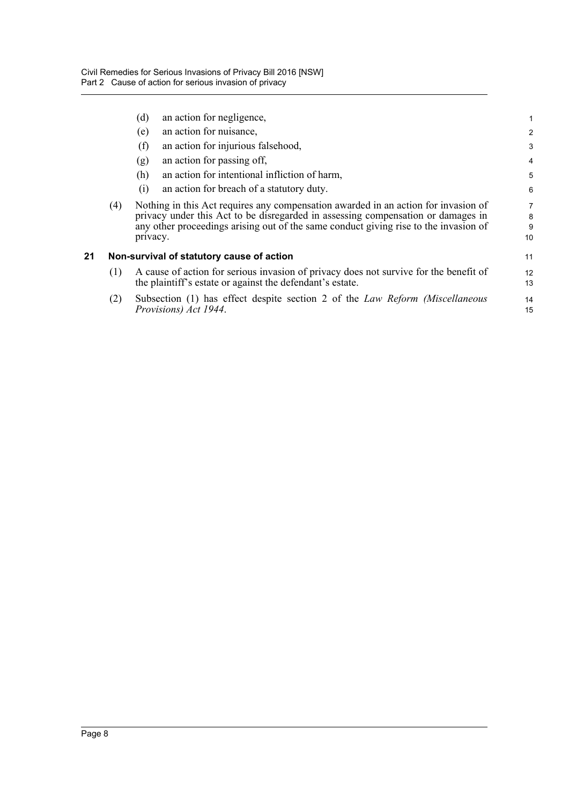<span id="page-16-0"></span>

|    |     | (d)      | an action for negligence,                                                                                                                                                                                                                                      | 1                 |
|----|-----|----------|----------------------------------------------------------------------------------------------------------------------------------------------------------------------------------------------------------------------------------------------------------------|-------------------|
|    |     | (e)      | an action for nuisance,                                                                                                                                                                                                                                        | $\overline{c}$    |
|    |     | (f)      | an action for injurious falsehood,                                                                                                                                                                                                                             | 3                 |
|    |     | (g)      | an action for passing off,                                                                                                                                                                                                                                     | 4                 |
|    |     | (h)      | an action for intentional infliction of harm,                                                                                                                                                                                                                  | 5                 |
|    |     | (i)      | an action for breach of a statutory duty.                                                                                                                                                                                                                      | 6                 |
|    | (4) | privacy. | Nothing in this Act requires any compensation awarded in an action for invasion of<br>privacy under this Act to be disregarded in assessing compensation or damages in<br>any other proceedings arising out of the same conduct giving rise to the invasion of | 7<br>8<br>9<br>10 |
| 21 |     |          | Non-survival of statutory cause of action                                                                                                                                                                                                                      | 11                |
|    | (1) |          | A cause of action for serious invasion of privacy does not survive for the benefit of<br>the plaintiff's estate or against the defendant's estate.                                                                                                             | 12<br>13          |
|    | (2) |          | Subsection (1) has effect despite section 2 of the <i>Law Reform (Miscellaneous</i><br>Provisions) Act 1944.                                                                                                                                                   | 14<br>15          |
|    |     |          |                                                                                                                                                                                                                                                                |                   |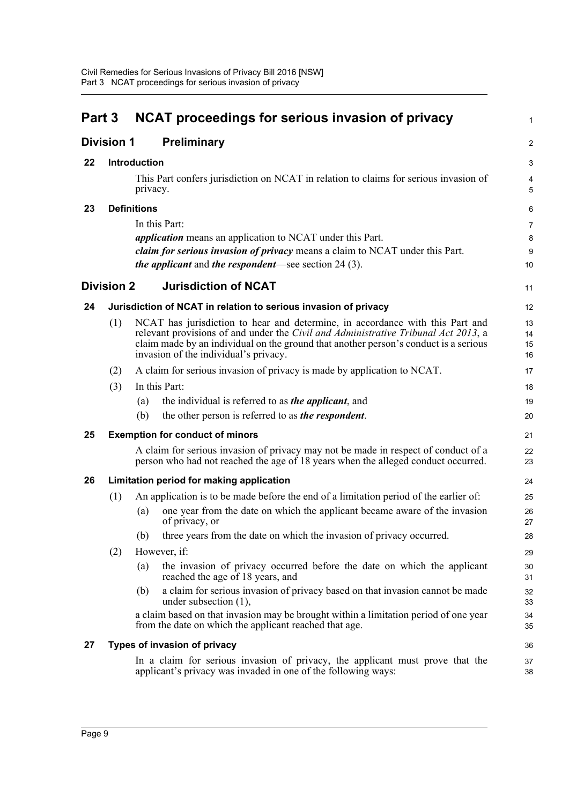<span id="page-17-8"></span><span id="page-17-7"></span><span id="page-17-6"></span><span id="page-17-5"></span><span id="page-17-4"></span><span id="page-17-3"></span><span id="page-17-2"></span><span id="page-17-1"></span><span id="page-17-0"></span>

| Part 3 |                   |                     | <b>NCAT proceedings for serious invasion of privacy</b>                                                                                                                                                                                                                                              | $\mathbf{1}$         |
|--------|-------------------|---------------------|------------------------------------------------------------------------------------------------------------------------------------------------------------------------------------------------------------------------------------------------------------------------------------------------------|----------------------|
|        | <b>Division 1</b> |                     | <b>Preliminary</b>                                                                                                                                                                                                                                                                                   | $\overline{2}$       |
| 22     |                   | <b>Introduction</b> |                                                                                                                                                                                                                                                                                                      | 3                    |
|        |                   | privacy.            | This Part confers jurisdiction on NCAT in relation to claims for serious invasion of                                                                                                                                                                                                                 | 4<br>5               |
| 23     |                   | <b>Definitions</b>  |                                                                                                                                                                                                                                                                                                      | 6                    |
|        |                   |                     | In this Part:                                                                                                                                                                                                                                                                                        | 7                    |
|        |                   |                     | <i>application</i> means an application to NCAT under this Part.                                                                                                                                                                                                                                     | 8                    |
|        |                   |                     | claim for serious invasion of privacy means a claim to NCAT under this Part.<br><i>the applicant</i> and <i>the respondent</i> —see section $24(3)$ .                                                                                                                                                | 9<br>10              |
|        | <b>Division 2</b> |                     | <b>Jurisdiction of NCAT</b>                                                                                                                                                                                                                                                                          | 11                   |
| 24     |                   |                     | Jurisdiction of NCAT in relation to serious invasion of privacy                                                                                                                                                                                                                                      | 12                   |
|        | (1)               |                     | NCAT has jurisdiction to hear and determine, in accordance with this Part and<br>relevant provisions of and under the Civil and Administrative Tribunal Act 2013, a<br>claim made by an individual on the ground that another person's conduct is a serious<br>invasion of the individual's privacy. | 13<br>14<br>15<br>16 |
|        | (2)               |                     | A claim for serious invasion of privacy is made by application to NCAT.                                                                                                                                                                                                                              | 17                   |
|        | (3)               |                     | In this Part:                                                                                                                                                                                                                                                                                        | 18                   |
|        |                   | (a)                 | the individual is referred to as <i>the applicant</i> , and                                                                                                                                                                                                                                          | 19                   |
|        |                   | (b)                 | the other person is referred to as <i>the respondent</i> .                                                                                                                                                                                                                                           | 20                   |
| 25     |                   |                     | <b>Exemption for conduct of minors</b>                                                                                                                                                                                                                                                               | 21                   |
|        |                   |                     | A claim for serious invasion of privacy may not be made in respect of conduct of a<br>person who had not reached the age of 18 years when the alleged conduct occurred.                                                                                                                              | 22<br>23             |
| 26     |                   |                     | Limitation period for making application                                                                                                                                                                                                                                                             | 24                   |
|        | (1)               |                     | An application is to be made before the end of a limitation period of the earlier of:                                                                                                                                                                                                                | 25                   |
|        |                   | (a)                 | one year from the date on which the applicant became aware of the invasion<br>of privacy, or                                                                                                                                                                                                         | 26<br>27             |
|        |                   |                     | (b) three years from the date on which the invasion of privacy occurred.                                                                                                                                                                                                                             | 28                   |
|        | (2)               |                     | However, if:                                                                                                                                                                                                                                                                                         | 29                   |
|        |                   | (a)                 | the invasion of privacy occurred before the date on which the applicant<br>reached the age of 18 years, and                                                                                                                                                                                          | 30<br>31             |
|        |                   | (b)                 | a claim for serious invasion of privacy based on that invasion cannot be made<br>under subsection $(1)$ ,                                                                                                                                                                                            | 32<br>33             |
|        |                   |                     | a claim based on that invasion may be brought within a limitation period of one year<br>from the date on which the applicant reached that age.                                                                                                                                                       | 34<br>35             |
| 27     |                   |                     | Types of invasion of privacy                                                                                                                                                                                                                                                                         | 36                   |
|        |                   |                     | In a claim for serious invasion of privacy, the applicant must prove that the<br>applicant's privacy was invaded in one of the following ways:                                                                                                                                                       | 37<br>38             |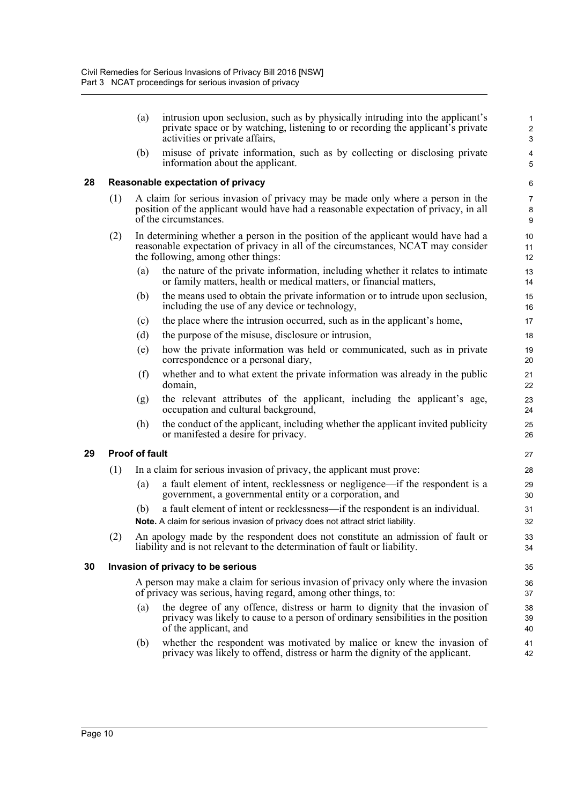- <span id="page-18-2"></span><span id="page-18-1"></span><span id="page-18-0"></span>(a) intrusion upon seclusion, such as by physically intruding into the applicant's private space or by watching, listening to or recording the applicant's private activities or private affairs, (b) misuse of private information, such as by collecting or disclosing private information about the applicant. **28 Reasonable expectation of privacy** (1) A claim for serious invasion of privacy may be made only where a person in the position of the applicant would have had a reasonable expectation of privacy, in all of the circumstances. (2) In determining whether a person in the position of the applicant would have had a reasonable expectation of privacy in all of the circumstances, NCAT may consider the following, among other things: (a) the nature of the private information, including whether it relates to intimate or family matters, health or medical matters, or financial matters, (b) the means used to obtain the private information or to intrude upon seclusion, including the use of any device or technology, (c) the place where the intrusion occurred, such as in the applicant's home, (d) the purpose of the misuse, disclosure or intrusion, (e) how the private information was held or communicated, such as in private correspondence or a personal diary, (f) whether and to what extent the private information was already in the public domain, (g) the relevant attributes of the applicant, including the applicant's age, occupation and cultural background, (h) the conduct of the applicant, including whether the applicant invited publicity or manifested a desire for privacy. **29 Proof of fault** (1) In a claim for serious invasion of privacy, the applicant must prove: (a) a fault element of intent, recklessness or negligence—if the respondent is a government, a governmental entity or a corporation, and (b) a fault element of intent or recklessness—if the respondent is an individual. **Note.** A claim for serious invasion of privacy does not attract strict liability. (2) An apology made by the respondent does not constitute an admission of fault or liability and is not relevant to the determination of fault or liability. **30 Invasion of privacy to be serious** A person may make a claim for serious invasion of privacy only where the invasion of privacy was serious, having regard, among other things, to: (a) the degree of any offence, distress or harm to dignity that the invasion of privacy was likely to cause to a person of ordinary sensibilities in the position of the applicant, and 1 2 3 4 5 6 7 8 9 10 11 12 13 14 15 16 17 18 19 20 21 22 23 24 25 26 27 28 29 30 31 32 33 34 35 36 37 38 39 40
	- (b) whether the respondent was motivated by malice or knew the invasion of privacy was likely to offend, distress or harm the dignity of the applicant.

41 42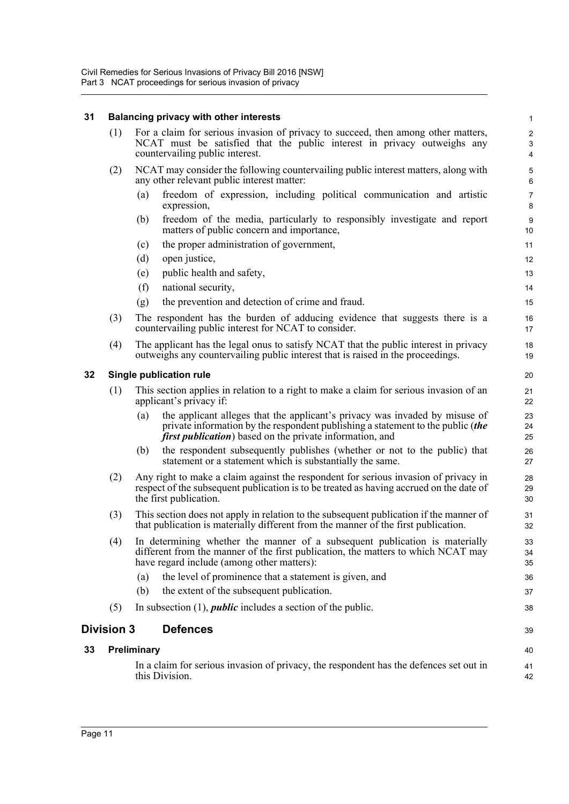## **31 Balancing privacy with other interests**

<span id="page-19-3"></span><span id="page-19-2"></span><span id="page-19-1"></span><span id="page-19-0"></span>

| 31 |                   | Balancing privacy with other interests                                                                                                                                                                                                    | $\mathbf{1}$              |
|----|-------------------|-------------------------------------------------------------------------------------------------------------------------------------------------------------------------------------------------------------------------------------------|---------------------------|
|    | (1)               | For a claim for serious invasion of privacy to succeed, then among other matters,<br>NCAT must be satisfied that the public interest in privacy outweighs any<br>countervailing public interest.                                          | $\sqrt{2}$<br>3<br>4      |
|    | (2)               | NCAT may consider the following countervailing public interest matters, along with<br>any other relevant public interest matter:                                                                                                          | $\mathbf 5$<br>6          |
|    |                   | freedom of expression, including political communication and artistic<br>(a)<br>expression,                                                                                                                                               | $\overline{7}$<br>$\bf 8$ |
|    |                   | (b)<br>freedom of the media, particularly to responsibly investigate and report<br>matters of public concern and importance,                                                                                                              | $\boldsymbol{9}$<br>10    |
|    |                   | the proper administration of government,<br>(c)                                                                                                                                                                                           | 11                        |
|    |                   | (d)<br>open justice,                                                                                                                                                                                                                      | 12                        |
|    |                   | public health and safety,<br>(e)                                                                                                                                                                                                          | 13                        |
|    |                   | (f)<br>national security,                                                                                                                                                                                                                 | 14                        |
|    |                   | the prevention and detection of crime and fraud.<br>(g)                                                                                                                                                                                   | 15                        |
|    | (3)               | The respondent has the burden of adducing evidence that suggests there is a<br>countervailing public interest for NCAT to consider.                                                                                                       | 16<br>17                  |
|    | (4)               | The applicant has the legal onus to satisfy NCAT that the public interest in privacy<br>outweighs any countervailing public interest that is raised in the proceedings.                                                                   | 18<br>19                  |
| 32 |                   | Single publication rule                                                                                                                                                                                                                   | 20                        |
|    | (1)               | This section applies in relation to a right to make a claim for serious invasion of an<br>applicant's privacy if:                                                                                                                         | 21<br>22                  |
|    |                   | the applicant alleges that the applicant's privacy was invaded by misuse of<br>(a)<br>private information by the respondent publishing a statement to the public (the<br><i>first publication</i> ) based on the private information, and | 23<br>24<br>25            |
|    |                   | the respondent subsequently publishes (whether or not to the public) that<br>(b)<br>statement or a statement which is substantially the same.                                                                                             | 26<br>27                  |
|    | (2)               | Any right to make a claim against the respondent for serious invasion of privacy in<br>respect of the subsequent publication is to be treated as having accrued on the date of<br>the first publication.                                  | 28<br>29<br>30            |
|    | (3)               | This section does not apply in relation to the subsequent publication if the manner of<br>that publication is materially different from the manner of the first publication.                                                              | 31<br>32                  |
|    | (4)               | In determining whether the manner of a subsequent publication is materially<br>different from the manner of the first publication, the matters to which NCAT may<br>have regard include (among other matters):                            | 33<br>34<br>35            |
|    |                   | the level of prominence that a statement is given, and<br>(a)                                                                                                                                                                             | 36                        |
|    |                   | the extent of the subsequent publication.<br>(b)                                                                                                                                                                                          | 37                        |
|    | (5)               | In subsection $(1)$ , <i>public</i> includes a section of the public.                                                                                                                                                                     | 38                        |
|    | <b>Division 3</b> | <b>Defences</b>                                                                                                                                                                                                                           | 39                        |
| 33 |                   | Preliminary                                                                                                                                                                                                                               | 40                        |
|    |                   | In a claim for serious invasion of privacy, the respondent has the defences set out in<br>this Division.                                                                                                                                  | 41<br>42                  |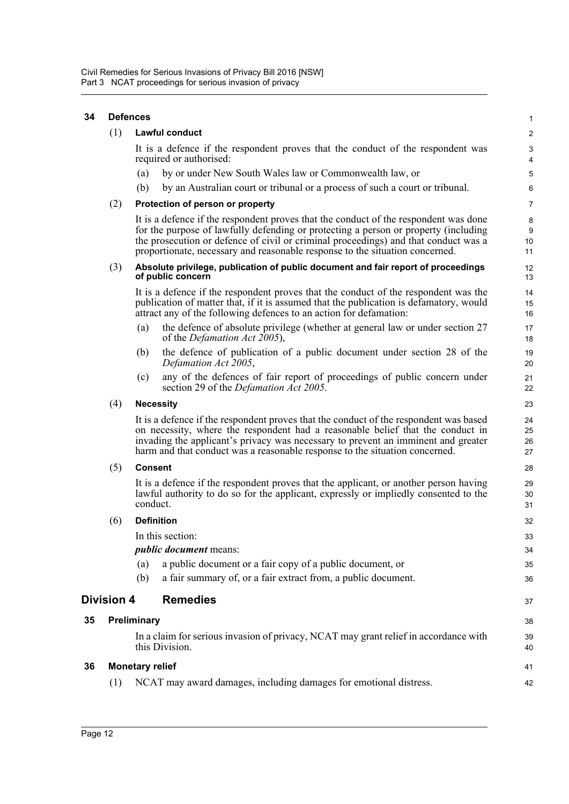<span id="page-20-3"></span><span id="page-20-2"></span><span id="page-20-1"></span><span id="page-20-0"></span>

| 34 |                   | <b>Defences</b>        |                                                                                                                                                                                                                                                                                                                                                    | $\mathbf{1}$                   |
|----|-------------------|------------------------|----------------------------------------------------------------------------------------------------------------------------------------------------------------------------------------------------------------------------------------------------------------------------------------------------------------------------------------------------|--------------------------------|
|    | (1)               |                        | Lawful conduct                                                                                                                                                                                                                                                                                                                                     | $\overline{2}$                 |
|    |                   |                        | It is a defence if the respondent proves that the conduct of the respondent was<br>required or authorised:                                                                                                                                                                                                                                         | $\ensuremath{\mathsf{3}}$<br>4 |
|    |                   | (a)                    | by or under New South Wales law or Commonwealth law, or                                                                                                                                                                                                                                                                                            | 5                              |
|    |                   | (b)                    | by an Australian court or tribunal or a process of such a court or tribunal.                                                                                                                                                                                                                                                                       | 6                              |
|    | (2)               |                        | Protection of person or property                                                                                                                                                                                                                                                                                                                   | $\overline{7}$                 |
|    |                   |                        | It is a defence if the respondent proves that the conduct of the respondent was done<br>for the purpose of lawfully defending or protecting a person or property (including<br>the prosecution or defence of civil or criminal proceedings) and that conduct was a<br>proportionate, necessary and reasonable response to the situation concerned. | 8<br>9<br>10<br>11             |
|    | (3)               |                        | Absolute privilege, publication of public document and fair report of proceedings<br>of public concern                                                                                                                                                                                                                                             | 12<br>13                       |
|    |                   |                        | It is a defence if the respondent proves that the conduct of the respondent was the<br>publication of matter that, if it is assumed that the publication is defamatory, would<br>attract any of the following defences to an action for defamation:                                                                                                | 14<br>15<br>16                 |
|    |                   | (a)                    | the defence of absolute privilege (whether at general law or under section 27<br>of the <i>Defamation Act 2005</i> ),                                                                                                                                                                                                                              | 17<br>18                       |
|    |                   | (b)                    | the defence of publication of a public document under section 28 of the<br>Defamation Act 2005,                                                                                                                                                                                                                                                    | 19<br>20                       |
|    |                   | (c)                    | any of the defences of fair report of proceedings of public concern under<br>section 29 of the <i>Defamation Act 2005</i> .                                                                                                                                                                                                                        | 21<br>22                       |
|    | (4)               |                        | <b>Necessity</b>                                                                                                                                                                                                                                                                                                                                   | 23                             |
|    |                   |                        | It is a defence if the respondent proves that the conduct of the respondent was based<br>on necessity, where the respondent had a reasonable belief that the conduct in<br>invading the applicant's privacy was necessary to prevent an imminent and greater<br>harm and that conduct was a reasonable response to the situation concerned.        | 24<br>25<br>26<br>27           |
|    | (5)               | <b>Consent</b>         |                                                                                                                                                                                                                                                                                                                                                    | 28                             |
|    |                   | conduct.               | It is a defence if the respondent proves that the applicant, or another person having<br>lawful authority to do so for the applicant, expressly or impliedly consented to the                                                                                                                                                                      | 29<br>30<br>31                 |
|    | (6)               |                        | <b>Definition</b>                                                                                                                                                                                                                                                                                                                                  | 32                             |
|    |                   |                        | In this section:                                                                                                                                                                                                                                                                                                                                   | 33                             |
|    |                   |                        | <i>public document</i> means:                                                                                                                                                                                                                                                                                                                      | 34                             |
|    |                   | (a)                    | a public document or a fair copy of a public document, or                                                                                                                                                                                                                                                                                          | 35                             |
|    |                   | (b)                    | a fair summary of, or a fair extract from, a public document.                                                                                                                                                                                                                                                                                      | 36                             |
|    | <b>Division 4</b> |                        | <b>Remedies</b>                                                                                                                                                                                                                                                                                                                                    | 37                             |
| 35 |                   | Preliminary            |                                                                                                                                                                                                                                                                                                                                                    | 38                             |
|    |                   |                        | In a claim for serious invasion of privacy, NCAT may grant relief in accordance with<br>this Division.                                                                                                                                                                                                                                             | 39<br>40                       |
| 36 |                   | <b>Monetary relief</b> |                                                                                                                                                                                                                                                                                                                                                    | 41                             |
|    | (1)               |                        | NCAT may award damages, including damages for emotional distress.                                                                                                                                                                                                                                                                                  | 42                             |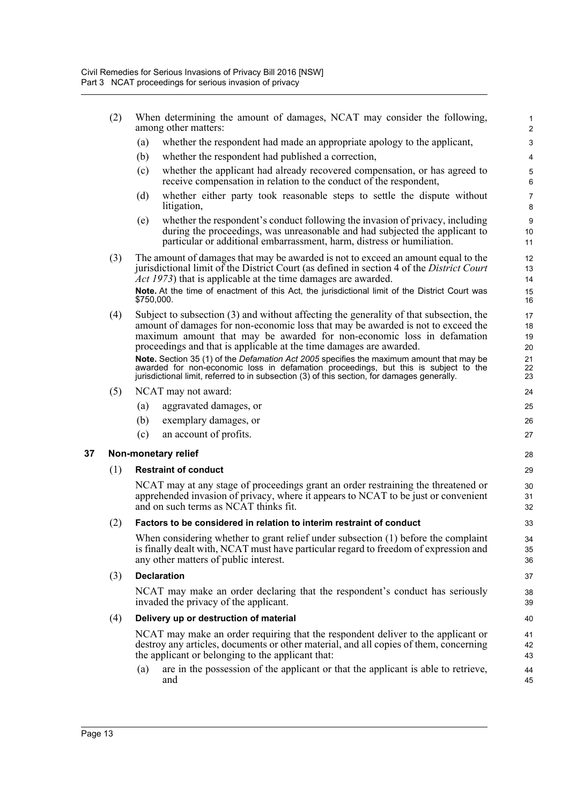- (2) When determining the amount of damages, NCAT may consider the following, among other matters:
	- (a) whether the respondent had made an appropriate apology to the applicant,
	- (b) whether the respondent had published a correction,
	- (c) whether the applicant had already recovered compensation, or has agreed to receive compensation in relation to the conduct of the respondent,

- (d) whether either party took reasonable steps to settle the dispute without litigation,
- (e) whether the respondent's conduct following the invasion of privacy, including during the proceedings, was unreasonable and had subjected the applicant to particular or additional embarrassment, harm, distress or humiliation.
- (3) The amount of damages that may be awarded is not to exceed an amount equal to the jurisdictional limit of the District Court (as defined in section 4 of the *District Court Act 1973*) that is applicable at the time damages are awarded.

**Note.** At the time of enactment of this Act, the jurisdictional limit of the District Court was \$750,000.

(4) Subject to subsection (3) and without affecting the generality of that subsection, the amount of damages for non-economic loss that may be awarded is not to exceed the maximum amount that may be awarded for non-economic loss in defamation proceedings and that is applicable at the time damages are awarded.

**Note.** Section 35 (1) of the *Defamation Act 2005* specifies the maximum amount that may be awarded for non-economic loss in defamation proceedings, but this is subject to the jurisdictional limit, referred to in subsection (3) of this section, for damages generally.

- (5) NCAT may not award:
	- (a) aggravated damages, or
	- (b) exemplary damages, or
	- (c) an account of profits.

#### <span id="page-21-0"></span>**37 Non-monetary relief**

#### (1) **Restraint of conduct**

NCAT may at any stage of proceedings grant an order restraining the threatened or apprehended invasion of privacy, where it appears to NCAT to be just or convenient and on such terms as NCAT thinks fit.

#### (2) **Factors to be considered in relation to interim restraint of conduct**

When considering whether to grant relief under subsection (1) before the complaint is finally dealt with, NCAT must have particular regard to freedom of expression and any other matters of public interest.

#### (3) **Declaration**

NCAT may make an order declaring that the respondent's conduct has seriously invaded the privacy of the applicant.

#### (4) **Delivery up or destruction of material**

NCAT may make an order requiring that the respondent deliver to the applicant or destroy any articles, documents or other material, and all copies of them, concerning the applicant or belonging to the applicant that:

(a) are in the possession of the applicant or that the applicant is able to retrieve, and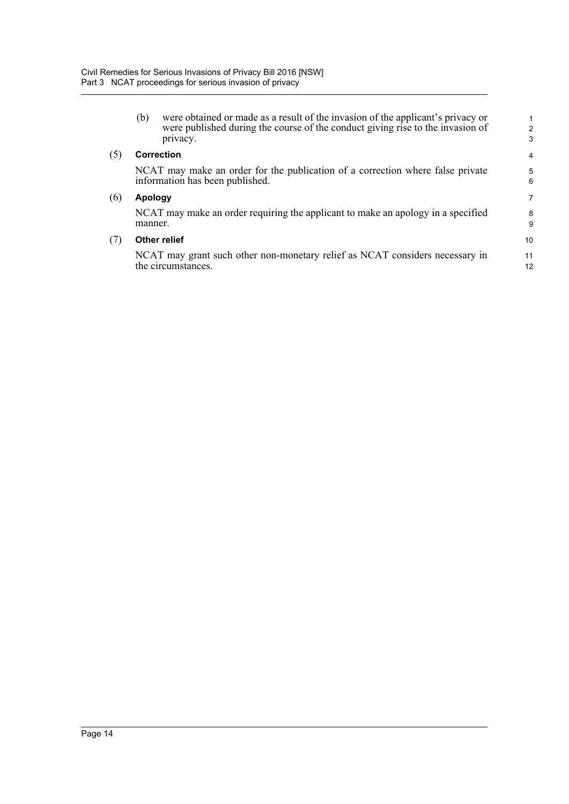|     | (b)        | were obtained or made as a result of the invasion of the applicant's privacy or<br>were published during the course of the conduct giving rise to the invasion of<br>privacy. | $\overline{c}$<br>3 |
|-----|------------|-------------------------------------------------------------------------------------------------------------------------------------------------------------------------------|---------------------|
| (5) | Correction |                                                                                                                                                                               |                     |
|     |            | NCAT may make an order for the publication of a correction where false private<br>information has been published.                                                             | 5<br>6              |
| (6) | Apology    |                                                                                                                                                                               | 7                   |
|     | manner.    | NCAT may make an order requiring the applicant to make an apology in a specified                                                                                              | 8<br>9              |
| (7) |            | <b>Other relief</b>                                                                                                                                                           | 10                  |
|     |            | NCAT may grant such other non-monetary relief as NCAT considers necessary in<br>the circumstances.                                                                            | 11<br>12            |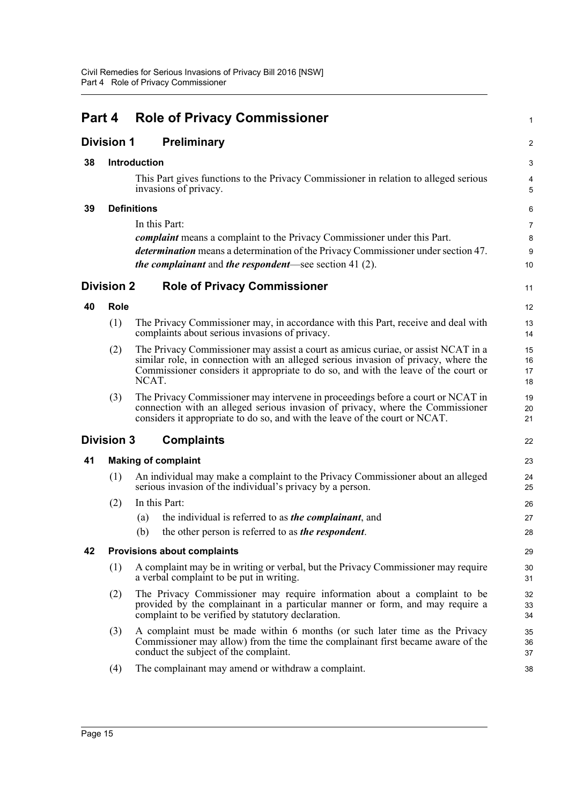<span id="page-23-8"></span><span id="page-23-7"></span><span id="page-23-6"></span><span id="page-23-5"></span><span id="page-23-4"></span><span id="page-23-3"></span><span id="page-23-2"></span><span id="page-23-1"></span><span id="page-23-0"></span>

| Part 4            |                                    | <b>Role of Privacy Commissioner</b>                                                                                                                                                                     |                                                                                                                                                                                                                                                               |                      |  |  |  |
|-------------------|------------------------------------|---------------------------------------------------------------------------------------------------------------------------------------------------------------------------------------------------------|---------------------------------------------------------------------------------------------------------------------------------------------------------------------------------------------------------------------------------------------------------------|----------------------|--|--|--|
| <b>Division 1</b> |                                    |                                                                                                                                                                                                         | <b>Preliminary</b>                                                                                                                                                                                                                                            | 2                    |  |  |  |
| 38                | <b>Introduction</b>                |                                                                                                                                                                                                         | 3                                                                                                                                                                                                                                                             |                      |  |  |  |
|                   |                                    | This Part gives functions to the Privacy Commissioner in relation to alleged serious<br>invasions of privacy.                                                                                           |                                                                                                                                                                                                                                                               |                      |  |  |  |
| 39                |                                    | <b>Definitions</b>                                                                                                                                                                                      |                                                                                                                                                                                                                                                               | 6                    |  |  |  |
|                   |                                    | In this Part:                                                                                                                                                                                           | 7                                                                                                                                                                                                                                                             |                      |  |  |  |
|                   |                                    | <i>complaint</i> means a complaint to the Privacy Commissioner under this Part.                                                                                                                         |                                                                                                                                                                                                                                                               |                      |  |  |  |
|                   |                                    |                                                                                                                                                                                                         | determination means a determination of the Privacy Commissioner under section 47.<br><i>the complainant</i> and <i>the respondent</i> —see section 41 $(2)$ .                                                                                                 | $9\,$<br>10          |  |  |  |
| <b>Division 2</b> |                                    | <b>Role of Privacy Commissioner</b>                                                                                                                                                                     |                                                                                                                                                                                                                                                               | 11                   |  |  |  |
| 40                | <b>Role</b>                        |                                                                                                                                                                                                         |                                                                                                                                                                                                                                                               | 12                   |  |  |  |
|                   | (1)                                |                                                                                                                                                                                                         | The Privacy Commissioner may, in accordance with this Part, receive and deal with<br>complaints about serious invasions of privacy.                                                                                                                           | 13<br>14             |  |  |  |
|                   | (2)                                | NCAT.                                                                                                                                                                                                   | The Privacy Commissioner may assist a court as amicus curiae, or assist NCAT in a<br>similar role, in connection with an alleged serious invasion of privacy, where the<br>Commissioner considers it appropriate to do so, and with the leave of the court or | 15<br>16<br>17<br>18 |  |  |  |
|                   | (3)                                |                                                                                                                                                                                                         | The Privacy Commissioner may intervene in proceedings before a court or NCAT in<br>connection with an alleged serious invasion of privacy, where the Commissioner<br>considers it appropriate to do so, and with the leave of the court or NCAT.              | 19<br>20<br>21       |  |  |  |
|                   | <b>Division 3</b>                  | <b>Complaints</b>                                                                                                                                                                                       |                                                                                                                                                                                                                                                               |                      |  |  |  |
| 41                | <b>Making of complaint</b>         |                                                                                                                                                                                                         |                                                                                                                                                                                                                                                               |                      |  |  |  |
|                   | (1)                                |                                                                                                                                                                                                         | An individual may make a complaint to the Privacy Commissioner about an alleged<br>serious invasion of the individual's privacy by a person.                                                                                                                  | 24<br>25             |  |  |  |
|                   | (2)                                |                                                                                                                                                                                                         | In this Part:                                                                                                                                                                                                                                                 | 26                   |  |  |  |
|                   |                                    | (a)                                                                                                                                                                                                     | the individual is referred to as <i>the complainant</i> , and                                                                                                                                                                                                 | 27                   |  |  |  |
|                   |                                    | (b)                                                                                                                                                                                                     | the other person is referred to as the respondent.                                                                                                                                                                                                            | 28                   |  |  |  |
| 42                | <b>Provisions about complaints</b> |                                                                                                                                                                                                         |                                                                                                                                                                                                                                                               |                      |  |  |  |
|                   | (1)                                | A complaint may be in writing or verbal, but the Privacy Commissioner may require<br>a verbal complaint to be put in writing.                                                                           |                                                                                                                                                                                                                                                               |                      |  |  |  |
|                   | (2)                                |                                                                                                                                                                                                         | The Privacy Commissioner may require information about a complaint to be<br>provided by the complainant in a particular manner or form, and may require a<br>complaint to be verified by statutory declaration.                                               | 32<br>33<br>34       |  |  |  |
|                   | (3)                                | A complaint must be made within 6 months (or such later time as the Privacy<br>Commissioner may allow) from the time the complainant first became aware of the<br>conduct the subject of the complaint. |                                                                                                                                                                                                                                                               | 35<br>36<br>37       |  |  |  |
|                   | (4)                                |                                                                                                                                                                                                         | The complainant may amend or withdraw a complaint.                                                                                                                                                                                                            | 38                   |  |  |  |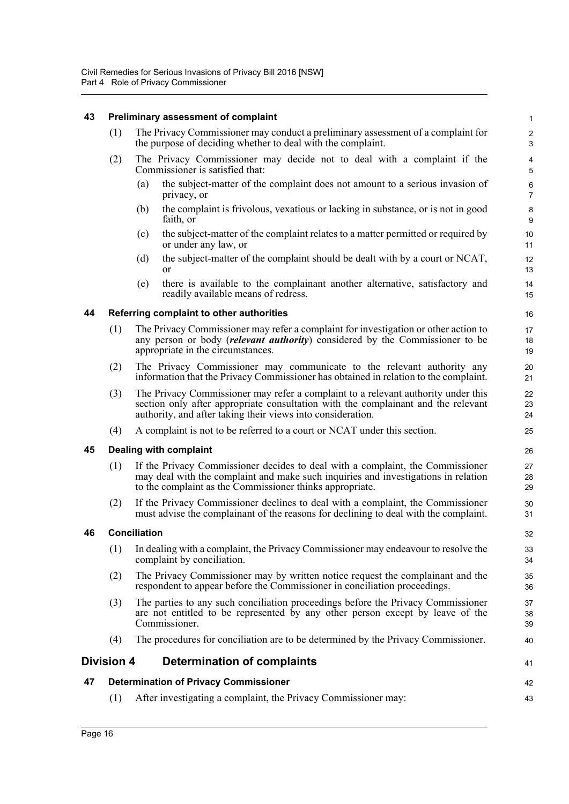#### <span id="page-24-0"></span>**43 Preliminary assessment of complaint**

- (1) The Privacy Commissioner may conduct a preliminary assessment of a complaint for the purpose of deciding whether to deal with the complaint.
- (2) The Privacy Commissioner may decide not to deal with a complaint if the Commissioner is satisfied that:
	- (a) the subject-matter of the complaint does not amount to a serious invasion of privacy, or

41

42 43

- (b) the complaint is frivolous, vexatious or lacking in substance, or is not in good faith, or
- (c) the subject-matter of the complaint relates to a matter permitted or required by or under any law, or
- (d) the subject-matter of the complaint should be dealt with by a court or NCAT, or
- (e) there is available to the complainant another alternative, satisfactory and readily available means of redress.

#### <span id="page-24-1"></span>**44 Referring complaint to other authorities**

- (1) The Privacy Commissioner may refer a complaint for investigation or other action to any person or body (*relevant authority*) considered by the Commissioner to be appropriate in the circumstances.
- (2) The Privacy Commissioner may communicate to the relevant authority any information that the Privacy Commissioner has obtained in relation to the complaint.
- (3) The Privacy Commissioner may refer a complaint to a relevant authority under this section only after appropriate consultation with the complainant and the relevant authority, and after taking their views into consideration.
- (4) A complaint is not to be referred to a court or NCAT under this section.

#### <span id="page-24-2"></span>**45 Dealing with complaint**

- (1) If the Privacy Commissioner decides to deal with a complaint, the Commissioner may deal with the complaint and make such inquiries and investigations in relation to the complaint as the Commissioner thinks appropriate.
- (2) If the Privacy Commissioner declines to deal with a complaint, the Commissioner must advise the complainant of the reasons for declining to deal with the complaint.

#### <span id="page-24-3"></span>**46 Conciliation**

- (1) In dealing with a complaint, the Privacy Commissioner may endeavour to resolve the complaint by conciliation.
- (2) The Privacy Commissioner may by written notice request the complainant and the respondent to appear before the Commissioner in conciliation proceedings.
- (3) The parties to any such conciliation proceedings before the Privacy Commissioner are not entitled to be represented by any other person except by leave of the Commissioner.
- (4) The procedures for conciliation are to be determined by the Privacy Commissioner.

### <span id="page-24-4"></span>**Division 4 Determination of complaints**

#### <span id="page-24-5"></span>**47 Determination of Privacy Commissioner**

(1) After investigating a complaint, the Privacy Commissioner may: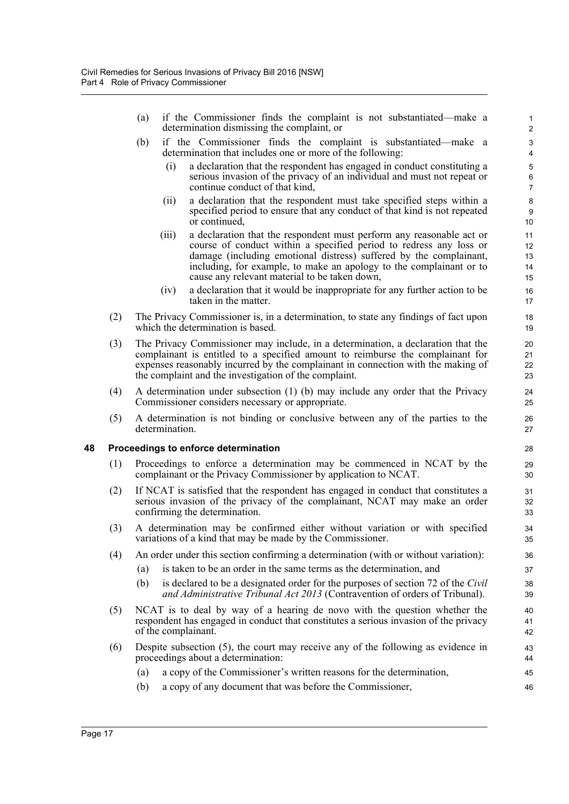- (a) if the Commissioner finds the complaint is not substantiated—make a determination dismissing the complaint, or
- (b) if the Commissioner finds the complaint is substantiated—make a determination that includes one or more of the following:
	- (i) a declaration that the respondent has engaged in conduct constituting a serious invasion of the privacy of an individual and must not repeat or continue conduct of that kind,

- (ii) a declaration that the respondent must take specified steps within a specified period to ensure that any conduct of that kind is not repeated or continued,
- (iii) a declaration that the respondent must perform any reasonable act or course of conduct within a specified period to redress any loss or damage (including emotional distress) suffered by the complainant, including, for example, to make an apology to the complainant or to cause any relevant material to be taken down,
- (iv) a declaration that it would be inappropriate for any further action to be taken in the matter.
- (2) The Privacy Commissioner is, in a determination, to state any findings of fact upon which the determination is based.
- (3) The Privacy Commissioner may include, in a determination, a declaration that the complainant is entitled to a specified amount to reimburse the complainant for expenses reasonably incurred by the complainant in connection with the making of the complaint and the investigation of the complaint.
- (4) A determination under subsection (1) (b) may include any order that the Privacy Commissioner considers necessary or appropriate.
- (5) A determination is not binding or conclusive between any of the parties to the determination.

#### <span id="page-25-0"></span>**48 Proceedings to enforce determination**

- (1) Proceedings to enforce a determination may be commenced in NCAT by the complainant or the Privacy Commissioner by application to NCAT.
- (2) If NCAT is satisfied that the respondent has engaged in conduct that constitutes a serious invasion of the privacy of the complainant, NCAT may make an order confirming the determination.
- (3) A determination may be confirmed either without variation or with specified variations of a kind that may be made by the Commissioner.
- (4) An order under this section confirming a determination (with or without variation):
	- (a) is taken to be an order in the same terms as the determination, and
	- (b) is declared to be a designated order for the purposes of section 72 of the *Civil and Administrative Tribunal Act 2013* (Contravention of orders of Tribunal).
- (5) NCAT is to deal by way of a hearing de novo with the question whether the respondent has engaged in conduct that constitutes a serious invasion of the privacy of the complainant.
- (6) Despite subsection (5), the court may receive any of the following as evidence in proceedings about a determination:
	- (a) a copy of the Commissioner's written reasons for the determination,
	- (b) a copy of any document that was before the Commissioner,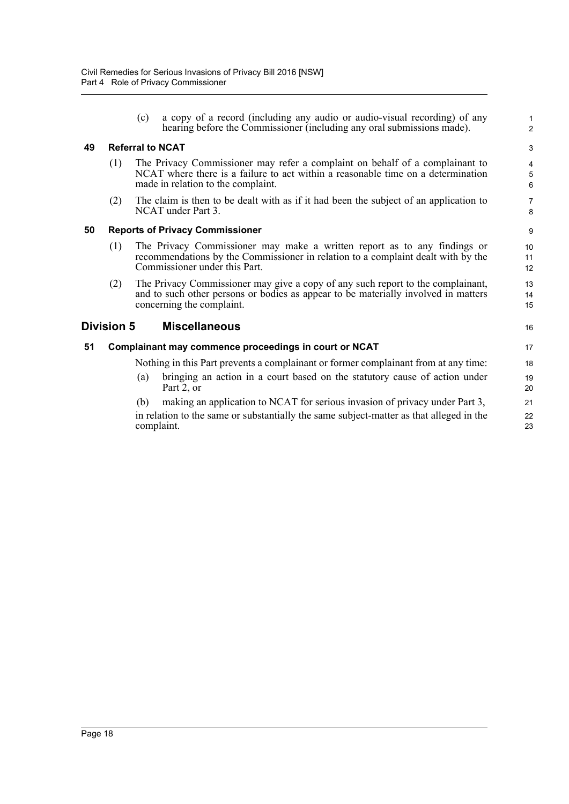(c) a copy of a record (including any audio or audio-visual recording) of any hearing before the Commissioner (including any oral submissions made).

1 2

16

#### <span id="page-26-0"></span>**49 Referral to NCAT**

- (1) The Privacy Commissioner may refer a complaint on behalf of a complainant to NCAT where there is a failure to act within a reasonable time on a determination made in relation to the complaint.
- (2) The claim is then to be dealt with as if it had been the subject of an application to NCAT under Part 3.

#### <span id="page-26-1"></span>**50 Reports of Privacy Commissioner**

- (1) The Privacy Commissioner may make a written report as to any findings or recommendations by the Commissioner in relation to a complaint dealt with by the Commissioner under this Part.
- (2) The Privacy Commissioner may give a copy of any such report to the complainant, and to such other persons or bodies as appear to be materially involved in matters concerning the complaint.

### <span id="page-26-2"></span>**Division 5 Miscellaneous**

#### <span id="page-26-3"></span>**51 Complainant may commence proceedings in court or NCAT**

Nothing in this Part prevents a complainant or former complainant from at any time:

- (a) bringing an action in a court based on the statutory cause of action under Part 2, or
- (b) making an application to NCAT for serious invasion of privacy under Part 3, in relation to the same or substantially the same subject-matter as that alleged in the complaint.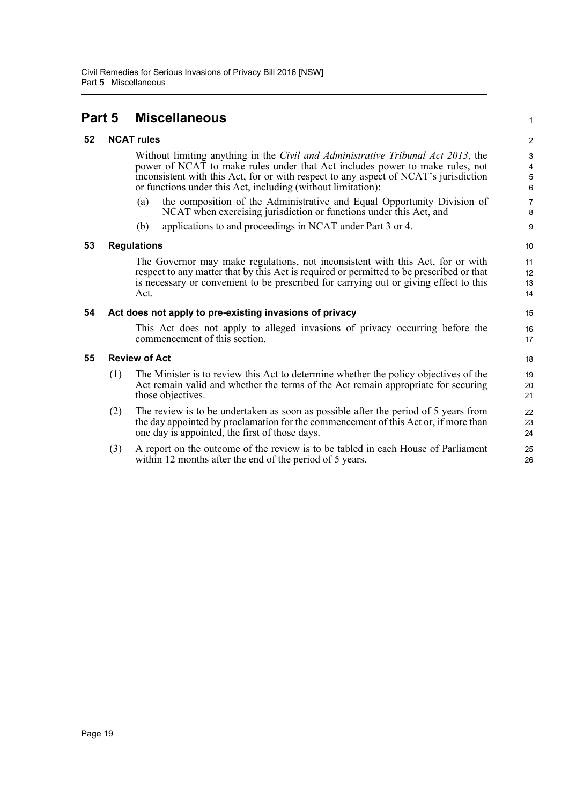## <span id="page-27-0"></span>**Part 5 Miscellaneous**

#### <span id="page-27-1"></span>**52 NCAT rules**

Without limiting anything in the *Civil and Administrative Tribunal Act 2013*, the power of NCAT to make rules under that Act includes power to make rules, not inconsistent with this Act, for or with respect to any aspect of NCAT's jurisdiction or functions under this Act, including (without limitation):

- (a) the composition of the Administrative and Equal Opportunity Division of NCAT when exercising jurisdiction or functions under this Act, and
- (b) applications to and proceedings in NCAT under Part 3 or 4.

#### <span id="page-27-2"></span>**53 Regulations**

The Governor may make regulations, not inconsistent with this Act, for or with respect to any matter that by this Act is required or permitted to be prescribed or that is necessary or convenient to be prescribed for carrying out or giving effect to this Act.

#### <span id="page-27-3"></span>**54 Act does not apply to pre-existing invasions of privacy**

This Act does not apply to alleged invasions of privacy occurring before the commencement of this section.

#### <span id="page-27-4"></span>**55 Review of Act**

- (1) The Minister is to review this Act to determine whether the policy objectives of the Act remain valid and whether the terms of the Act remain appropriate for securing those objectives.
- (2) The review is to be undertaken as soon as possible after the period of 5 years from the day appointed by proclamation for the commencement of this Act or, if more than one day is appointed, the first of those days.
- (3) A report on the outcome of the review is to be tabled in each House of Parliament within 12 months after the end of the period of 5 years.

 $\overline{2}$ 3

1

10 11

12 13 14

15 16 17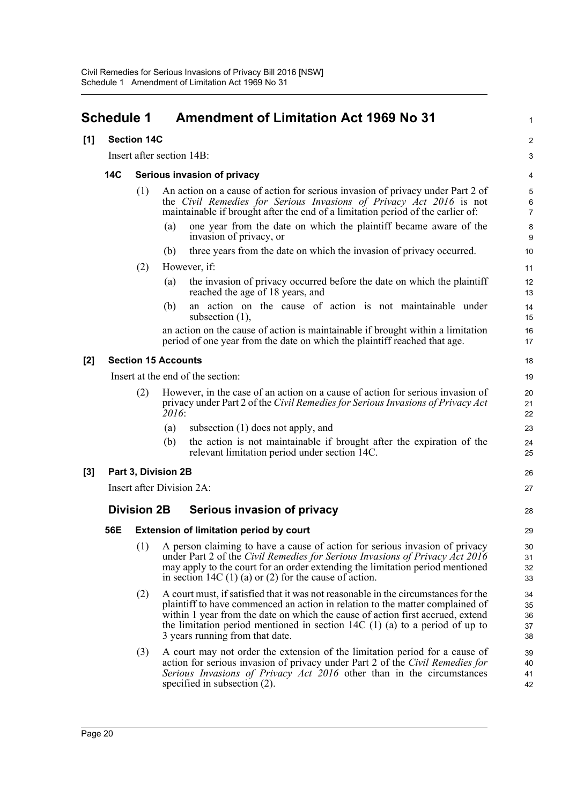<span id="page-28-0"></span>

| <b>Schedule 1</b> |                    |                             |       | <b>Amendment of Limitation Act 1969 No 31</b>                                                                                                                                                                                                                                                                                                                             | 1                          |  |  |  |  |
|-------------------|--------------------|-----------------------------|-------|---------------------------------------------------------------------------------------------------------------------------------------------------------------------------------------------------------------------------------------------------------------------------------------------------------------------------------------------------------------------------|----------------------------|--|--|--|--|
| [1]               |                    | <b>Section 14C</b>          |       |                                                                                                                                                                                                                                                                                                                                                                           |                            |  |  |  |  |
|                   |                    | Insert after section 14B:   |       |                                                                                                                                                                                                                                                                                                                                                                           |                            |  |  |  |  |
|                   | <b>14C</b>         | Serious invasion of privacy |       |                                                                                                                                                                                                                                                                                                                                                                           |                            |  |  |  |  |
|                   |                    | (1)                         |       | An action on a cause of action for serious invasion of privacy under Part 2 of<br>the Civil Remedies for Serious Invasions of Privacy Act 2016 is not<br>maintainable if brought after the end of a limitation period of the earlier of:                                                                                                                                  | 5<br>6<br>7                |  |  |  |  |
|                   |                    |                             | (a)   | one year from the date on which the plaintiff became aware of the<br>invasion of privacy, or                                                                                                                                                                                                                                                                              | 8<br>9                     |  |  |  |  |
|                   |                    |                             | (b)   | three years from the date on which the invasion of privacy occurred.                                                                                                                                                                                                                                                                                                      | 10                         |  |  |  |  |
|                   |                    | (2)                         |       | However, if:                                                                                                                                                                                                                                                                                                                                                              |                            |  |  |  |  |
|                   |                    |                             | (a)   | the invasion of privacy occurred before the date on which the plaintiff<br>reached the age of 18 years, and                                                                                                                                                                                                                                                               | 12<br>13                   |  |  |  |  |
|                   |                    |                             | (b)   | an action on the cause of action is not maintainable under<br>subsection $(1)$ ,                                                                                                                                                                                                                                                                                          | 14<br>15                   |  |  |  |  |
|                   |                    |                             |       | an action on the cause of action is maintainable if brought within a limitation<br>period of one year from the date on which the plaintiff reached that age.                                                                                                                                                                                                              | 16<br>17                   |  |  |  |  |
| $[2]$             |                    | <b>Section 15 Accounts</b>  |       |                                                                                                                                                                                                                                                                                                                                                                           | 18                         |  |  |  |  |
|                   |                    |                             |       | Insert at the end of the section:                                                                                                                                                                                                                                                                                                                                         | 19                         |  |  |  |  |
|                   |                    | (2)                         | 2016: | However, in the case of an action on a cause of action for serious invasion of<br>privacy under Part 2 of the Civil Remedies for Serious Invasions of Privacy Act                                                                                                                                                                                                         | 20<br>21<br>22             |  |  |  |  |
|                   |                    |                             | (a)   | subsection $(1)$ does not apply, and                                                                                                                                                                                                                                                                                                                                      | 23                         |  |  |  |  |
|                   |                    |                             | (b)   | the action is not maintainable if brought after the expiration of the<br>relevant limitation period under section 14C.                                                                                                                                                                                                                                                    | 24<br>25                   |  |  |  |  |
| $[3]$             |                    | Part 3, Division 2B         |       |                                                                                                                                                                                                                                                                                                                                                                           |                            |  |  |  |  |
|                   |                    |                             |       | Insert after Division 2A:                                                                                                                                                                                                                                                                                                                                                 | 27                         |  |  |  |  |
|                   | <b>Division 2B</b> |                             |       | Serious invasion of privacy                                                                                                                                                                                                                                                                                                                                               | 28                         |  |  |  |  |
|                   | 56E                |                             |       | <b>Extension of limitation period by court</b>                                                                                                                                                                                                                                                                                                                            | 29                         |  |  |  |  |
|                   |                    | (1)                         |       | A person claiming to have a cause of action for serious invasion of privacy<br>under Part 2 of the Civil Remedies for Serious Invasions of Privacy Act 2016<br>may apply to the court for an order extending the limitation period mentioned<br>in section 14C $(1)$ (a) or $(2)$ for the cause of action.                                                                | 30<br>31<br>32<br>33       |  |  |  |  |
|                   |                    | (2)                         |       | A court must, if satisfied that it was not reasonable in the circumstances for the<br>plaintiff to have commenced an action in relation to the matter complained of<br>within 1 year from the date on which the cause of action first accrued, extend<br>the limitation period mentioned in section 14C $(1)$ (a) to a period of up to<br>3 years running from that date. | 34<br>35<br>36<br>37<br>38 |  |  |  |  |
|                   |                    | (3)                         |       | A court may not order the extension of the limitation period for a cause of<br>action for serious invasion of privacy under Part 2 of the Civil Remedies for<br>Serious Invasions of Privacy Act 2016 other than in the circumstances<br>specified in subsection $(2)$ .                                                                                                  | 39<br>40<br>41<br>42       |  |  |  |  |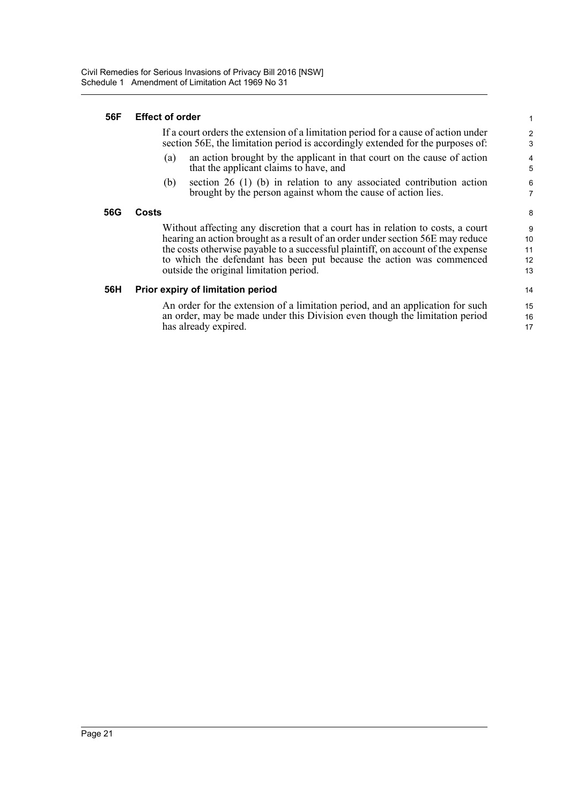#### **56F Effect of order**

If a court orders the extension of a limitation period for a cause of action under section 56E, the limitation period is accordingly extended for the purposes of:

- (a) an action brought by the applicant in that court on the cause of action that the applicant claims to have, and
- (b) section 26 (1) (b) in relation to any associated contribution action brought by the person against whom the cause of action lies.

#### **56G Costs**

Without affecting any discretion that a court has in relation to costs, a court hearing an action brought as a result of an order under section 56E may reduce the costs otherwise payable to a successful plaintiff, on account of the expense to which the defendant has been put because the action was commenced outside the original limitation period.

#### **56H Prior expiry of limitation period**

An order for the extension of a limitation period, and an application for such an order, may be made under this Division even though the limitation period has already expired.